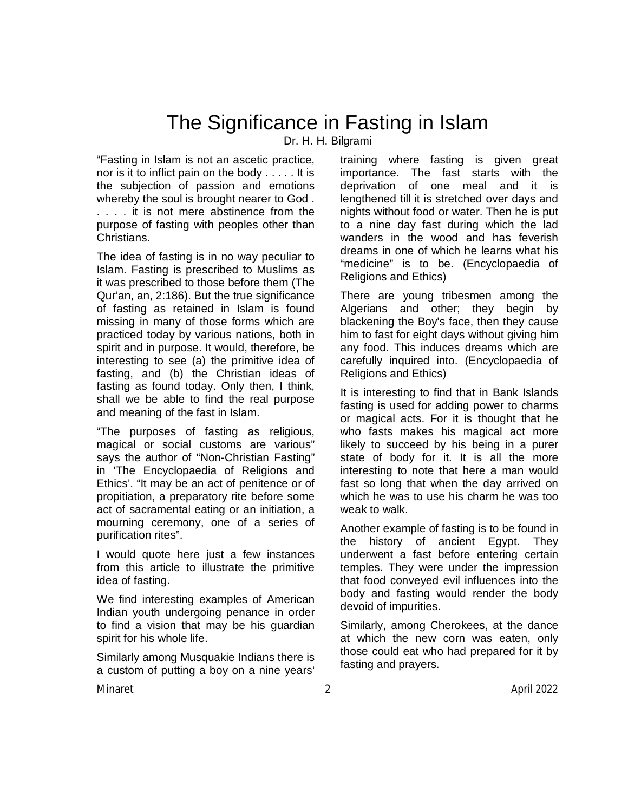# The Significance in Fasting in Islam

Dr. H. H. Bilgrami

"Fasting in Islam is not an ascetic practice, nor is it to inflict pain on the body . . . . . It is the subjection of passion and emotions whereby the soul is brought nearer to God . . . . . it is not mere abstinence from the purpose of fasting with peoples other than Christians.

The idea of fasting is in no way peculiar to Islam. Fasting is prescribed to Muslims as it was prescribed to those before them (The Qur'an, an, 2:186). But the true significance of fasting as retained in Islam is found missing in many of those forms which are practiced today by various nations, both in spirit and in purpose. It would, therefore, be interesting to see (a) the primitive idea of fasting, and (b) the Christian ideas of fasting as found today. Only then, I think, shall we be able to find the real purpose and meaning of the fast in Islam.

"The purposes of fasting as religious, magical or social customs are various" says the author of "Non-Christian Fasting" in 'The Encyclopaedia of Religions and Ethics'. "It may be an act of penitence or of propitiation, a preparatory rite before some act of sacramental eating or an initiation, a mourning ceremony, one of a series of purification rites".

I would quote here just a few instances from this article to illustrate the primitive idea of fasting.

We find interesting examples of American Indian youth undergoing penance in order to find a vision that may be his guardian spirit for his whole life.

Similarly among Musquakie Indians there is a custom of putting a boy on a nine years'

training where fasting is given great importance. The fast starts with the deprivation of one meal and it is lengthened till it is stretched over days and nights without food or water. Then he is put to a nine day fast during which the lad wanders in the wood and has feverish dreams in one of which he learns what his "medicine" is to be. (Encyclopaedia of Religions and Ethics)

There are young tribesmen among the Algerians and other; they begin by blackening the Boy's face, then they cause him to fast for eight days without giving him any food. This induces dreams which are carefully inquired into. (Encyclopaedia of Religions and Ethics)

It is interesting to find that in Bank Islands fasting is used for adding power to charms or magical acts. For it is thought that he who fasts makes his magical act more likely to succeed by his being in a purer state of body for it. It is all the more interesting to note that here a man would fast so long that when the day arrived on which he was to use his charm he was too weak to walk.

Another example of fasting is to be found in the history of ancient Egypt. They underwent a fast before entering certain temples. They were under the impression that food conveyed evil influences into the body and fasting would render the body devoid of impurities.

Similarly, among Cherokees, at the dance at which the new corn was eaten, only those could eat who had prepared for it by fasting and prayers.

Minaret 2 April 2022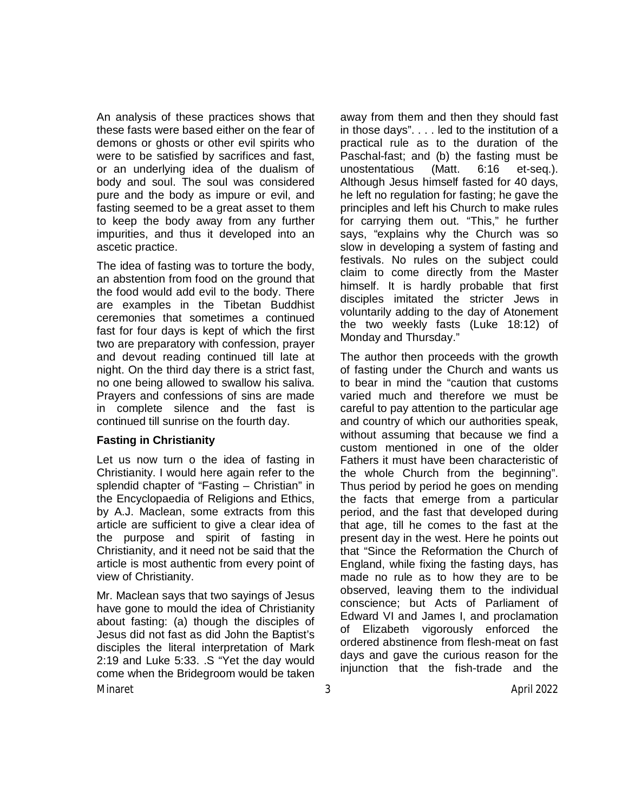An analysis of these practices shows that these fasts were based either on the fear of demons or ghosts or other evil spirits who were to be satisfied by sacrifices and fast, or an underlying idea of the dualism of body and soul. The soul was considered pure and the body as impure or evil, and fasting seemed to be a great asset to them to keep the body away from any further impurities, and thus it developed into an ascetic practice.

The idea of fasting was to torture the body, an abstention from food on the ground that the food would add evil to the body. There are examples in the Tibetan Buddhist ceremonies that sometimes a continued fast for four days is kept of which the first two are preparatory with confession, prayer and devout reading continued till late at night. On the third day there is a strict fast, no one being allowed to swallow his saliva. Prayers and confessions of sins are made in complete silence and the fast is continued till sunrise on the fourth day.

## **Fasting in Christianity**

Let us now turn o the idea of fasting in Christianity. I would here again refer to the splendid chapter of "Fasting – Christian" in the Encyclopaedia of Religions and Ethics, by A.J. Maclean, some extracts from this article are sufficient to give a clear idea of the purpose and spirit of fasting in Christianity, and it need not be said that the article is most authentic from every point of view of Christianity.

Minaret 3 April 2022 Mr. Maclean says that two sayings of Jesus have gone to mould the idea of Christianity about fasting: (a) though the disciples of Jesus did not fast as did John the Baptist's disciples the literal interpretation of Mark 2:19 and Luke 5:33. .S "Yet the day would come when the Bridegroom would be taken

away from them and then they should fast in those days". . . . led to the institution of a practical rule as to the duration of the Paschal-fast; and (b) the fasting must be unostentatious (Matt. 6:16 et-seq.). Although Jesus himself fasted for 40 days, he left no regulation for fasting; he gave the principles and left his Church to make rules for carrying them out. "This," he further says, "explains why the Church was so slow in developing a system of fasting and festivals. No rules on the subject could claim to come directly from the Master himself. It is hardly probable that first disciples imitated the stricter Jews in voluntarily adding to the day of Atonement the two weekly fasts (Luke 18:12) of Monday and Thursday."

The author then proceeds with the growth of fasting under the Church and wants us to bear in mind the "caution that customs varied much and therefore we must be careful to pay attention to the particular age and country of which our authorities speak, without assuming that because we find a custom mentioned in one of the older Fathers it must have been characteristic of the whole Church from the beginning". Thus period by period he goes on mending the facts that emerge from a particular period, and the fast that developed during that age, till he comes to the fast at the present day in the west. Here he points out that "Since the Reformation the Church of England, while fixing the fasting days, has made no rule as to how they are to be observed, leaving them to the individual conscience; but Acts of Parliament of Edward VI and James I, and proclamation of Elizabeth vigorously enforced the ordered abstinence from flesh-meat on fast days and gave the curious reason for the injunction that the fish-trade and the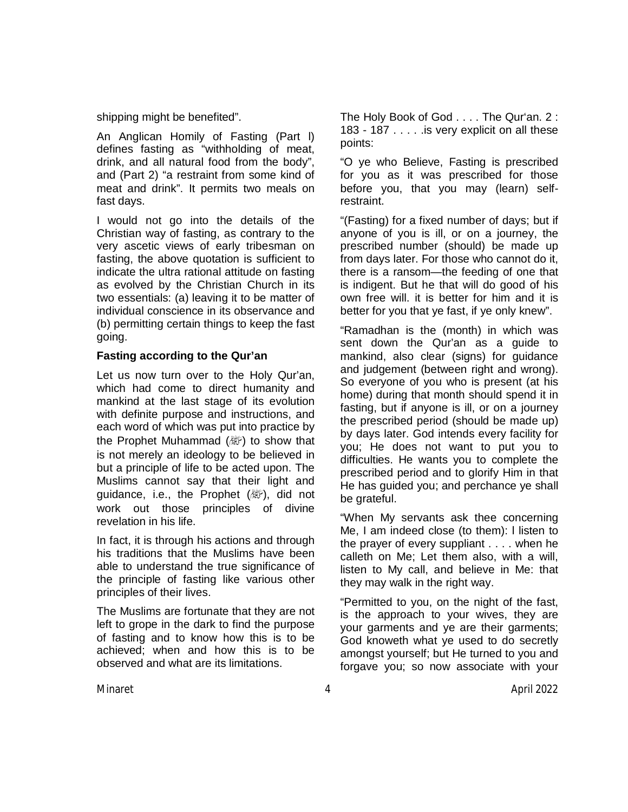shipping might be benefited".

An Anglican Homily of Fasting (Part l) defines fasting as "withholding of meat, drink, and all natural food from the body", and (Part 2) "a restraint from some kind of meat and drink". It permits two meals on fast days.

I would not go into the details of the Christian way of fasting, as contrary to the very ascetic views of early tribesman on fasting, the above quotation is sufficient to indicate the ultra rational attitude on fasting as evolved by the Christian Church in its two essentials: (a) leaving it to be matter of individual conscience in its observance and (b) permitting certain things to keep the fast going.

#### **Fasting according to the Qur'an**

Let us now turn over to the Holy Qur'an, which had come to direct humanity and mankind at the last stage of its evolution with definite purpose and instructions, and each word of which was put into practice by the Prophet Muhammad  $(\&$ ) to show that is not merely an ideology to be believed in but a principle of life to be acted upon. The Muslims cannot say that their light and guidance, i.e., the Prophet  $(\mathbb{R})$ , did not work out those principles of divine revelation in his life.

In fact, it is through his actions and through his traditions that the Muslims have been able to understand the true significance of the principle of fasting like various other principles of their lives.

The Muslims are fortunate that they are not left to grope in the dark to find the purpose of fasting and to know how this is to be achieved; when and how this is to be observed and what are its limitations.

The Holy Book of God . . . . The Qur'an. 2 : 183 - 187 . . . . .is very explicit on all these points:

"O ye who Believe, Fasting is prescribed for you as it was prescribed for those before you, that you may (learn) selfrestraint.

"(Fasting) for a fixed number of days; but if anyone of you is ill, or on a journey, the prescribed number (should) be made up from days later. For those who cannot do it, there is a ransom—the feeding of one that is indigent. But he that will do good of his own free will. it is better for him and it is better for you that ye fast, if ye only knew".

"Ramadhan is the (month) in which was sent down the Qur'an as a guide to mankind, also clear (signs) for guidance and judgement (between right and wrong). So everyone of you who is present (at his home) during that month should spend it in fasting, but if anyone is ill, or on a journey the prescribed period (should be made up) by days later. God intends every facility for you; He does not want to put you to difficulties. He wants you to complete the prescribed period and to glorify Him in that He has guided you; and perchance ye shall be grateful.

"When My servants ask thee concerning Me, I am indeed close (to them): l listen to the prayer of every suppliant . . . . when he calleth on Me; Let them also, with a will, listen to My call, and believe in Me: that they may walk in the right way.

"Permitted to you, on the night of the fast, is the approach to your wives, they are your garments and ye are their garments; God knoweth what ye used to do secretly amongst yourself; but He turned to you and forgave you; so now associate with your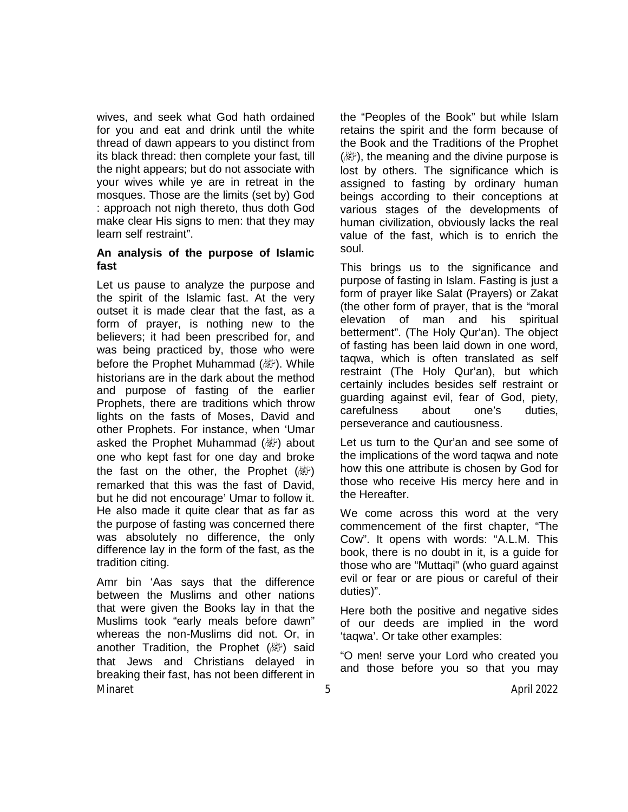wives, and seek what God hath ordained for you and eat and drink until the white thread of dawn appears to you distinct from its black thread: then complete your fast, till the night appears; but do not associate with your wives while ye are in retreat in the mosques. Those are the limits (set by) God : approach not nigh thereto, thus doth God make clear His signs to men: that they may learn self restraint".

## **An analysis of the purpose of Islamic fast**

Let us pause to analyze the purpose and the spirit of the Islamic fast. At the very outset it is made clear that the fast, as a form of prayer, is nothing new to the believers; it had been prescribed for, and was being practiced by, those who were before the Prophet Muhammad (. While historians are in the dark about the method and purpose of fasting of the earlier Prophets, there are traditions which throw lights on the fasts of Moses, David and other Prophets. For instance, when 'Umar asked the Prophet Muhammad ( about one who kept fast for one day and broke the fast on the other, the Prophet  $(\mathbb{W})$ remarked that this was the fast of David, but he did not encourage' Umar to follow it. He also made it quite clear that as far as the purpose of fasting was concerned there was absolutely no difference, the only difference lay in the form of the fast, as the tradition citing.

Minaret 5 April 2022 Amr bin 'Aas says that the difference between the Muslims and other nations that were given the Books lay in that the Muslims took "early meals before dawn" whereas the non-Muslims did not. Or, in another Tradition, the Prophet (纖) said that Jews and Christians delayed in breaking their fast, has not been different in

the "Peoples of the Book" but while Islam retains the spirit and the form because of the Book and the Traditions of the Prophet (變), the meaning and the divine purpose is lost by others. The significance which is assigned to fasting by ordinary human beings according to their conceptions at various stages of the developments of human civilization, obviously lacks the real value of the fast, which is to enrich the soul.

This brings us to the significance and purpose of fasting in Islam. Fasting is just a form of prayer like Salat (Prayers) or Zakat (the other form of prayer, that is the "moral elevation of man and his spiritual betterment". (The Holy Qur'an). The object of fasting has been laid down in one word, taqwa, which is often translated as self restraint (The Holy Qur'an), but which certainly includes besides self restraint or guarding against evil, fear of God, piety, carefulness about one's duties, perseverance and cautiousness.

Let us turn to the Qur'an and see some of the implications of the word taqwa and note how this one attribute is chosen by God for those who receive His mercy here and in the Hereafter.

We come across this word at the very commencement of the first chapter, "The Cow". It opens with words: "A.L.M. This book, there is no doubt in it, is a guide for those who are "Muttaqi" (who guard against evil or fear or are pious or careful of their duties)".

Here both the positive and negative sides of our deeds are implied in the word 'taqwa'. Or take other examples:

"O men! serve your Lord who created you and those before you so that you may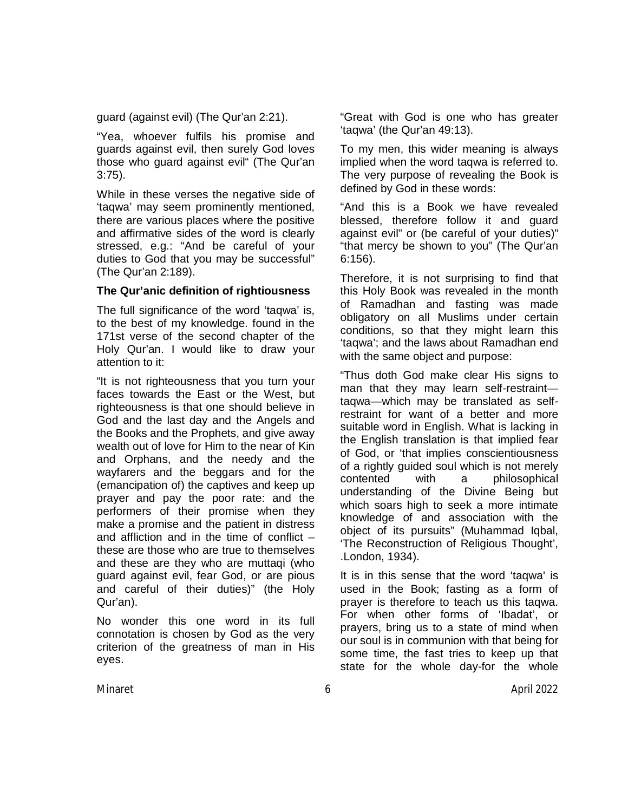guard (against evil) (The Qur'an 2:21).

"Yea, whoever fulfils his promise and guards against evil, then surely God loves those who guard against evil" (The Qur'an 3:75).

While in these verses the negative side of 'taqwa' may seem prominently mentioned, there are various places where the positive and affirmative sides of the word is clearly stressed, e.g.: "And be careful of your duties to God that you may be successful" (The Qur'an 2:189).

## **The Qur'anic definition of rightiousness**

The full significance of the word 'taqwa' is, to the best of my knowledge. found in the 171st verse of the second chapter of the Holy Qur'an. I would like to draw your attention to it:

"It is not righteousness that you turn your faces towards the East or the West, but righteousness is that one should believe in God and the last day and the Angels and the Books and the Prophets, and give away wealth out of love for Him to the near of Kin and Orphans, and the needy and the wayfarers and the beggars and for the (emancipation of) the captives and keep up prayer and pay the poor rate: and the performers of their promise when they make a promise and the patient in distress and affliction and in the time of conflict – these are those who are true to themselves and these are they who are muttaqi (who guard against evil, fear God, or are pious and careful of their duties)" (the Holy Qur'an).

No wonder this one word in its full connotation is chosen by God as the very criterion of the greatness of man in His eyes.

"Great with God is one who has greater 'taqwa' (the Qur'an 49:13).

To my men, this wider meaning is always implied when the word taqwa is referred to. The very purpose of revealing the Book is defined by God in these words:

"And this is a Book we have revealed blessed, therefore follow it and guard against evil" or (be careful of your duties)" "that mercy be shown to you" (The Qur'an 6:156).

Therefore, it is not surprising to find that this Holy Book was revealed in the month of Ramadhan and fasting was made obligatory on all Muslims under certain conditions, so that they might learn this 'taqwa'; and the laws about Ramadhan end with the same object and purpose:

"Thus doth God make clear His signs to man that they may learn self-restraint taqwa—which may be translated as selfrestraint for want of a better and more suitable word in English. What is lacking in the English translation is that implied fear of God, or 'that implies conscientiousness of a rightly guided soul which is not merely contented with a philosophical understanding of the Divine Being but which soars high to seek a more intimate knowledge of and association with the object of its pursuits" (Muhammad Iqbal, 'The Reconstruction of Religious Thought', .London, 1934).

It is in this sense that the word 'taqwa' is used in the Book; fasting as a form of prayer is therefore to teach us this taqwa. For when other forms of 'Ibadat', or prayers, bring us to a state of mind when our soul is in communion with that being for some time, the fast tries to keep up that state for the whole day-for the whole

Minaret 6 April 2022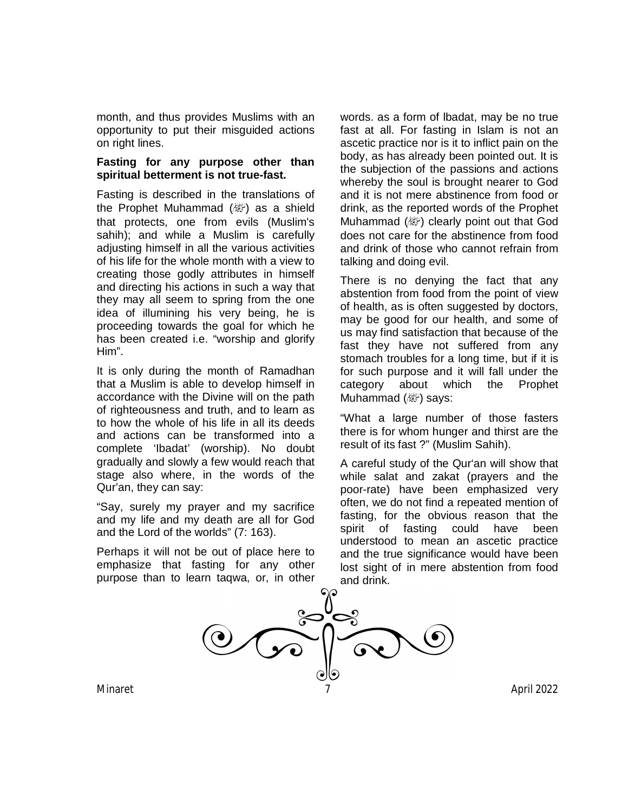month, and thus provides Muslims with an opportunity to put their misguided actions on right lines.

## **Fasting for any purpose other than spiritual betterment is not true-fast.**

Fasting is described in the translations of the Prophet Muhammad ( $\mathbb{E}$ ) as a shield that protects, one from evils (Muslim's sahih); and while a Muslim is carefully adjusting himself in all the various activities of his life for the whole month with a view to creating those godly attributes in himself and directing his actions in such a way that they may all seem to spring from the one idea of illumining his very being, he is proceeding towards the goal for which he has been created i.e. "worship and glorify Him".

It is only during the month of Ramadhan that a Muslim is able to develop himself in accordance with the Divine will on the path of righteousness and truth, and to learn as to how the whole of his life in all its deeds and actions can be transformed into a complete 'Ibadat' (worship). No doubt gradually and slowly a few would reach that stage also where, in the words of the Qur'an, they can say:

"Say, surely my prayer and my sacrifice and my life and my death are all for God and the Lord of the worlds" (7: 163).

Perhaps it will not be out of place here to emphasize that fasting for any other purpose than to learn taqwa, or, in other words. as a form of lbadat, may be no true fast at all. For fasting in Islam is not an ascetic practice nor is it to inflict pain on the body, as has already been pointed out. It is the subjection of the passions and actions whereby the soul is brought nearer to God and it is not mere abstinence from food or drink, as the reported words of the Prophet Muhammad (變) clearly point out that God does not care for the abstinence from food and drink of those who cannot refrain from talking and doing evil.

There is no denying the fact that any abstention from food from the point of view of health, as is often suggested by doctors, may be good for our health, and some of us may find satisfaction that because of the fast they have not suffered from any stomach troubles for a long time, but if it is for such purpose and it will fall under the category about which the Prophet Muhammad (*剛*) says:

"What a large number of those fasters there is for whom hunger and thirst are the result of its fast ?" (Muslim Sahih).

A careful study of the Qur'an will show that while salat and zakat (prayers and the poor-rate) have been emphasized very often, we do not find a repeated mention of fasting, for the obvious reason that the spirit of fasting could have been understood to mean an ascetic practice and the true significance would have been lost sight of in mere abstention from food and drink.

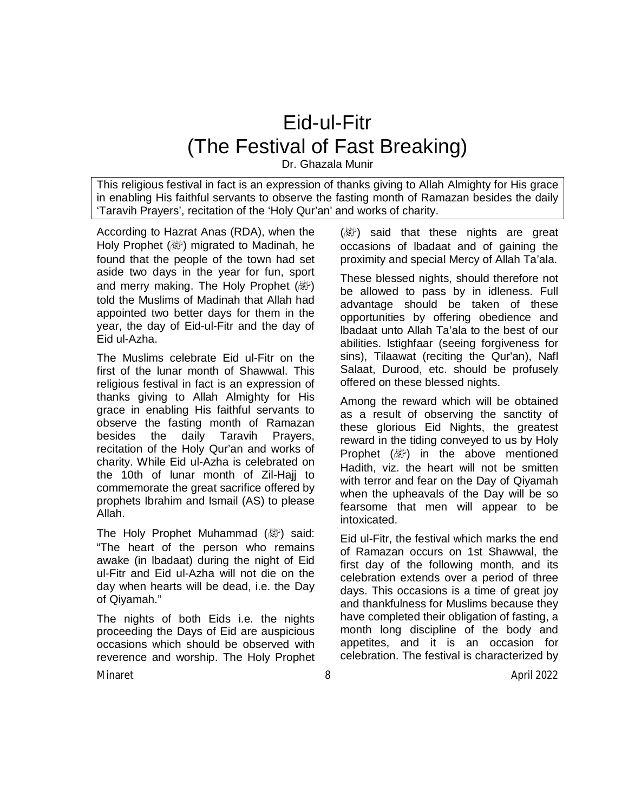## Eid-ul-Fitr (The Festival of Fast Breaking)

Dr. Ghazala Munir

This religious festival in fact is an expression of thanks giving to Allah Almighty for His grace in enabling His faithful servants to observe the fasting month of Ramazan besides the daily 'Taravih Prayers', recitation of the 'Holy Qur'an' and works of charity.

According to Hazrat Anas (RDA), when the Holy Prophet (صلى الله عليه وسلم (migrated to Madinah, he found that the people of the town had set aside two days in the year for fun, sport and merry making. The Holy Prophet (a) told the Muslims of Madinah that Allah had appointed two better days for them in the year, the day of Eid-ul-Fitr and the day of Eid ul-Azha.

The Muslims celebrate Eid ul-Fitr on the first of the lunar month of Shawwal. This religious festival in fact is an expression of thanks giving to Allah Almighty for His grace in enabling His faithful servants to observe the fasting month of Ramazan besides the daily Taravih Prayers, recitation of the Holy Qur'an and works of charity. While Eid ul-Azha is celebrated on the 10th of lunar month of Zil-Hajj to commemorate the great sacrifice offered by prophets Ibrahim and Ismail (AS) to please Allah.

The Holy Prophet Muhammad (*剛*) said: "The heart of the person who remains awake (in lbadaat) during the night of Eid ul-Fitr and Eid ul-Azha will not die on the day when hearts will be dead, i.e. the Day of Qiyamah."

The nights of both Eids i.e. the nights proceeding the Days of Eid are auspicious occasions which should be observed with reverence and worship. The Holy Prophet

 $(\&$ ) said that these nights are great occasions of lbadaat and of gaining the proximity and special Mercy of Allah Ta'ala.

These blessed nights, should therefore not be allowed to pass by in idleness. Full advantage should be taken of these opportunities by offering obedience and lbadaat unto Allah Ta'ala to the best of our abilities. lstighfaar (seeing forgiveness for sins), Tilaawat (reciting the Qur'an), Nafl Salaat, Durood, etc. should be profusely offered on these blessed nights.

Among the reward which will be obtained as a result of observing the sanctity of these glorious Eid Nights, the greatest reward in the tiding conveyed to us by Holy Prophet  $(\&$ ) in the above mentioned Hadith, viz. the heart will not be smitten with terror and fear on the Day of Qiyamah when the upheavals of the Day will be so fearsome that men will appear to be intoxicated.

Eid ul-Fitr, the festival which marks the end of Ramazan occurs on 1st Shawwal, the first day of the following month, and its celebration extends over a period of three days. This occasions is a time of great joy and thankfulness for Muslims because they have completed their obligation of fasting, a month long discipline of the body and appetites, and it is an occasion for celebration. The festival is characterized by

Minaret 8 April 2022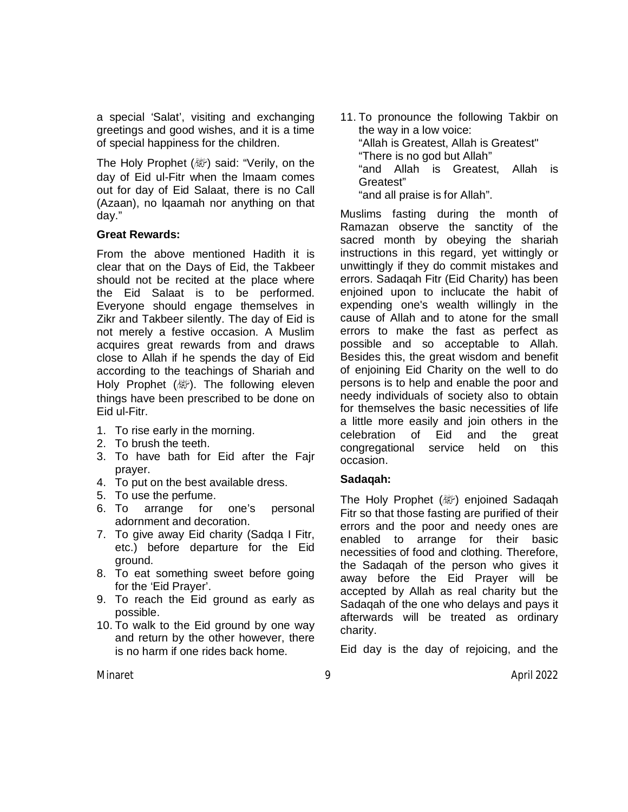a special 'Salat', visiting and exchanging greetings and good wishes, and it is a time of special happiness for the children.

The Holy Prophet (, Weid: "Verily, on the day of Eid ul-Fitr when the lmaam comes out for day of Eid Salaat, there is no Call (Azaan), no lqaamah nor anything on that day."

## **Great Rewards:**

From the above mentioned Hadith it is clear that on the Days of Eid, the Takbeer should not be recited at the place where the Eid Salaat is to be performed. Everyone should engage themselves in Zikr and Takbeer silently. The day of Eid is not merely a festive occasion. A Muslim acquires great rewards from and draws close to Allah if he spends the day of Eid according to the teachings of Shariah and Holy Prophet ( ). The following eleven things have been prescribed to be done on Eid ul-Fitr.

- 1. To rise early in the morning.
- 2. To brush the teeth.
- 3. To have bath for Eid after the Fajr prayer.
- 4. To put on the best available dress.
- 5. To use the perfume.
- 6. To arrange for one's personal adornment and decoration.
- 7. To give away Eid charity (Sadqa I Fitr, etc.) before departure for the Eid ground.
- 8. To eat something sweet before going for the 'Eid Prayer'.
- 9. To reach the Eid ground as early as possible.
- 10. To walk to the Eid ground by one way and return by the other however, there is no harm if one rides back home.

11. To pronounce the following Takbir on the way in a low voice: "Allah is Greatest, Allah is Greatest" "There is no god but Allah" "and Allah is Greatest, Allah is Greatest" "and all praise is for Allah".

Muslims fasting during the month of Ramazan observe the sanctity of the sacred month by obeying the shariah instructions in this regard, yet wittingly or unwittingly if they do commit mistakes and errors. Sadaqah Fitr (Eid Charity) has been enjoined upon to inclucate the habit of expending one's wealth willingly in the cause of Allah and to atone for the small errors to make the fast as perfect as possible and so acceptable to Allah. Besides this, the great wisdom and benefit of enjoining Eid Charity on the well to do persons is to help and enable the poor and needy individuals of society also to obtain for themselves the basic necessities of life a little more easily and join others in the celebration of Eid and the great congregational service held on this occasion.

## **Sadaqah:**

The Holy Prophet (ﷺ) enjoined Sadaqah Fitr so that those fasting are purified of their errors and the poor and needy ones are enabled to arrange for their basic necessities of food and clothing. Therefore, the Sadaqah of the person who gives it away before the Eid Prayer will be accepted by Allah as real charity but the Sadaqah of the one who delays and pays it afterwards will be treated as ordinary charity.

Eid day is the day of rejoicing, and the

Minaret 9 April 2022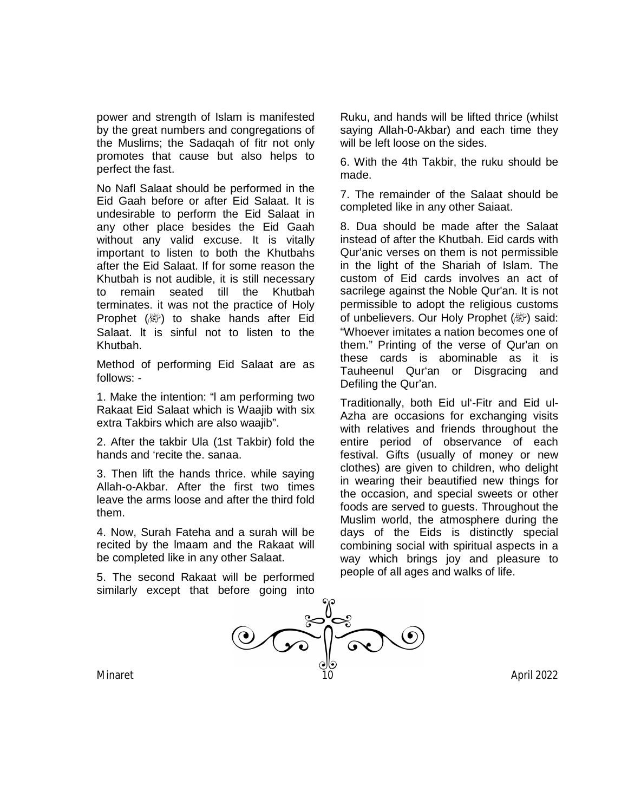power and strength of Islam is manifested by the great numbers and congregations of the Muslims; the Sadaqah of fitr not only promotes that cause but also helps to perfect the fast.

No Nafl Salaat should be performed in the Eid Gaah before or after Eid Salaat. It is undesirable to perform the Eid Salaat in any other place besides the Eid Gaah without any valid excuse. It is vitally important to listen to both the Khutbahs after the Eid Salaat. If for some reason the Khutbah is not audible, it is still necessary to remain seated till the Khutbah terminates. it was not the practice of Holy Prophet  $(\mathbb{Z})$  to shake hands after Eid Salaat. lt is sinful not to listen to the Khutbah.

Method of performing Eid Salaat are as follows: -

1. Make the intention: "l am performing two Rakaat Eid Salaat which is Waajib with six extra Takbirs which are also waajib".

2. After the takbir Ula (1st Takbir) fold the hands and 'recite the. sanaa.

3. Then lift the hands thrice. while saying Allah-o-Akbar. After the first two times leave the arms loose and after the third fold them.

4. Now, Surah Fateha and a surah will be recited by the lmaam and the Rakaat will be completed like in any other Salaat.

5. The second Rakaat will be performed similarly except that before going into

Ruku, and hands will be lifted thrice (whilst saying Allah-0-Akbar) and each time they will be left loose on the sides.

6. With the 4th Takbir, the ruku should be made.

7. The remainder of the Salaat should be completed like in any other Saiaat.

8. Dua should be made after the Salaat instead of after the Khutbah. Eid cards with Qur'anic verses on them is not permissible in the light of the Shariah of Islam. The custom of Eid cards involves an act of sacrilege against the Noble Qur'an. It is not permissible to adopt the religious customs of unbelievers. Our Holy Prophet (@) said: "Whoever imitates a nation becomes one of them." Printing of the verse of Qur'an on these cards is abominable as it is Tauheenul Qur'an or Disgracing and Defiling the Qur'an.

Traditionally, both Eid ul'-Fitr and Eid ul-Azha are occasions for exchanging visits with relatives and friends throughout the entire period of observance of each festival. Gifts (usually of money or new clothes) are given to children, who delight in wearing their beautified new things for the occasion, and special sweets or other foods are served to guests. Throughout the Muslim world, the atmosphere during the days of the Eids is distinctly special combining social with spiritual aspects in a way which brings joy and pleasure to people of all ages and walks of life.

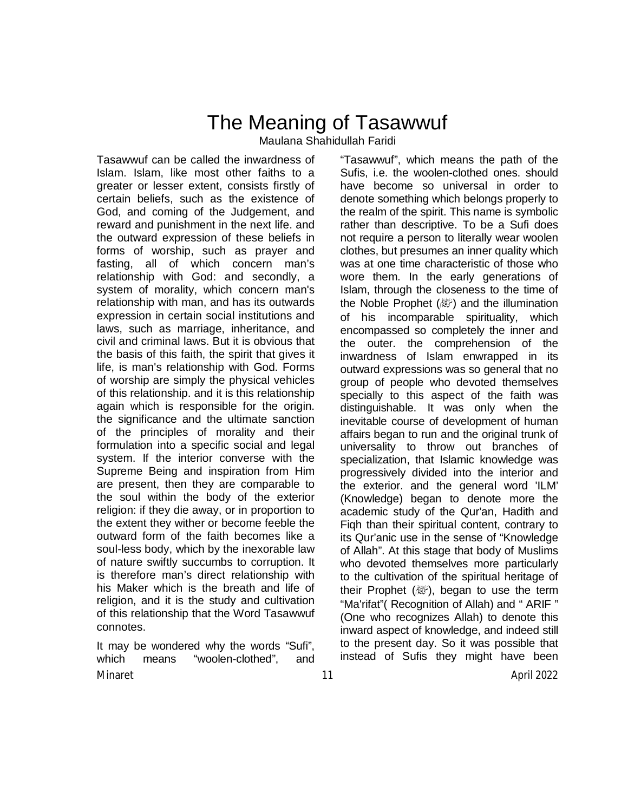## The Meaning of Tasawwuf Maulana Shahidullah Faridi

Tasawwuf can be called the inwardness of Islam. Islam, like most other faiths to a greater or lesser extent, consists firstly of certain beliefs, such as the existence of God, and coming of the Judgement, and reward and punishment in the next life. and the outward expression of these beliefs in forms of worship, such as prayer and fasting, all of which concern man's relationship with God: and secondly, a system of morality, which concern man's relationship with man, and has its outwards expression in certain social institutions and laws, such as marriage, inheritance, and civil and criminal laws. But it is obvious that the basis of this faith, the spirit that gives it life, is man's relationship with God. Forms of worship are simply the physical vehicles of this relationship. and it is this relationship again which is responsible for the origin. the significance and the ultimate sanction of the principles of morality and their formulation into a specific social and legal system. If the interior converse with the Supreme Being and inspiration from Him are present, then they are comparable to the soul within the body of the exterior religion: if they die away, or in proportion to the extent they wither or become feeble the outward form of the faith becomes like a soul-less body, which by the inexorable law of nature swiftly succumbs to corruption. It is therefore man's direct relationship with his Maker which is the breath and life of religion, and it is the study and cultivation of this relationship that the Word Tasawwuf connotes.

Minaret 11 April 2022 It may be wondered why the words "Sufi", which means "woolen-clothed", and

"Tasawwuf", which means the path of the Sufis, i.e. the woolen-clothed ones. should have become so universal in order to denote something which belongs properly to the realm of the spirit. This name is symbolic rather than descriptive. To be a Sufi does not require a person to literally wear woolen clothes, but presumes an inner quality which was at one time characteristic of those who wore them. In the early generations of Islam, through the closeness to the time of the Noble Prophet ( ﷺ) and the illumination of his incomparable spirituality, which encompassed so completely the inner and the outer. the comprehension of the inwardness of Islam enwrapped in its outward expressions was so general that no group of people who devoted themselves specially to this aspect of the faith was distinguishable. It was only when the inevitable course of development of human affairs began to run and the original trunk of universality to throw out branches of specialization, that Islamic knowledge was progressively divided into the interior and the exterior. and the general word 'ILM' (Knowledge) began to denote more the academic study of the Qur'an, Hadith and Fiqh than their spiritual content, contrary to its Qur'anic use in the sense of "Knowledge of Allah". At this stage that body of Muslims who devoted themselves more particularly to the cultivation of the spiritual heritage of their Prophet ( $\mathbb{W}$ ), began to use the term "Ma'rifat"( Recognition of Allah) and " ARIF " (One who recognizes Allah) to denote this inward aspect of knowledge, and indeed still to the present day. So it was possible that instead of Sufis they might have been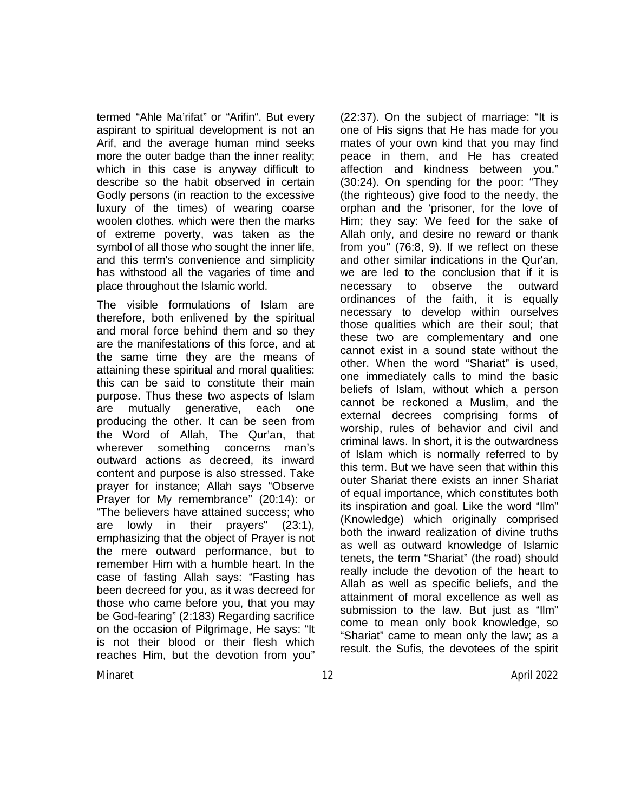termed "Ahle Ma'rifat" or "Arifin". But every aspirant to spiritual development is not an Arif, and the average human mind seeks more the outer badge than the inner reality; which in this case is anyway difficult to describe so the habit observed in certain Godly persons (in reaction to the excessive luxury of the times) of wearing coarse woolen clothes. which were then the marks of extreme poverty, was taken as the symbol of all those who sought the inner life, and this term's convenience and simplicity has withstood all the vagaries of time and place throughout the Islamic world.

The visible formulations of Islam are therefore, both enlivened by the spiritual and moral force behind them and so they are the manifestations of this force, and at the same time they are the means of attaining these spiritual and moral qualities: this can be said to constitute their main purpose. Thus these two aspects of Islam are mutually generative, each one producing the other. It can be seen from the Word of Allah, The Qur'an, that wherever something concerns man's outward actions as decreed, its inward content and purpose is also stressed. Take prayer for instance; Allah says "Observe Prayer for My remembrance" (20:14): or "The believers have attained success; who are lowly in their prayers" (23:1), emphasizing that the object of Prayer is not the mere outward performance, but to remember Him with a humble heart. In the case of fasting Allah says: "Fasting has been decreed for you, as it was decreed for those who came before you, that you may be God-fearing" (2:183) Regarding sacrifice on the occasion of Pilgrimage, He says: "It is not their blood or their flesh which reaches Him, but the devotion from you"

(22:37). On the subject of marriage: "It is one of His signs that He has made for you mates of your own kind that you may find peace in them, and He has created affection and kindness between you." (30:24). On spending for the poor: "They (the righteous) give food to the needy, the orphan and the 'prisoner, for the love of Him; they say: We feed for the sake of Allah only, and desire no reward or thank from you" (76:8, 9). If we reflect on these and other similar indications in the Qur'an, we are led to the conclusion that if it is necessary to observe the outward ordinances of the faith, it is equally necessary to develop within ourselves those qualities which are their soul; that these two are complementary and one cannot exist in a sound state without the other. When the word "Shariat" is used, one immediately calls to mind the basic beliefs of Islam, without which a person cannot be reckoned a Muslim, and the external decrees comprising forms of worship, rules of behavior and civil and criminal laws. In short, it is the outwardness of Islam which is normally referred to by this term. But we have seen that within this outer Shariat there exists an inner Shariat of equal importance, which constitutes both its inspiration and goal. Like the word "Ilm" (Knowledge) which originally comprised both the inward realization of divine truths as well as outward knowledge of Islamic tenets, the term "Shariat" (the road) should really include the devotion of the heart to Allah as well as specific beliefs, and the attainment of moral excellence as well as submission to the law. But just as "Ilm" come to mean only book knowledge, so "Shariat" came to mean only the law; as a result. the Sufis, the devotees of the spirit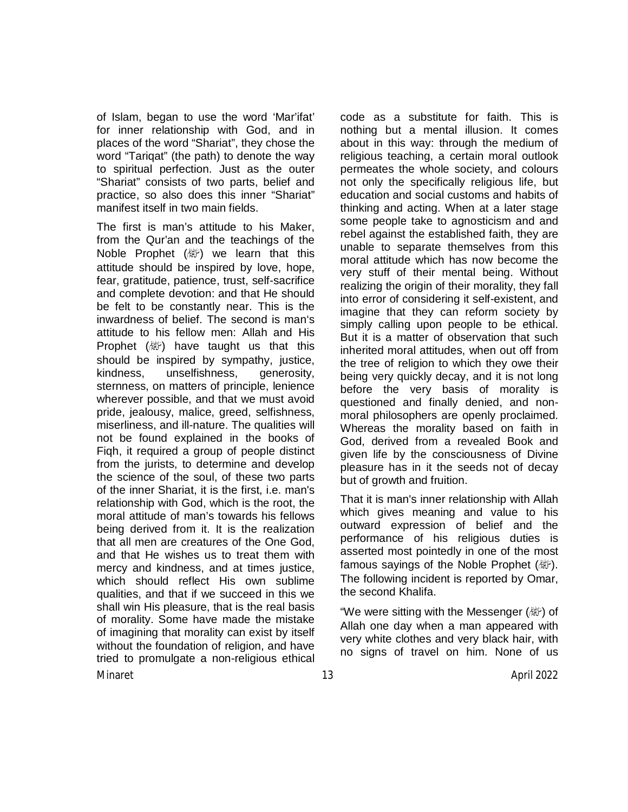of Islam, began to use the word 'Mar'ifat' for inner relationship with God, and in places of the word "Shariat", they chose the word "Tariqat" (the path) to denote the way to spiritual perfection. Just as the outer "Shariat" consists of two parts, belief and practice, so also does this inner "Shariat" manifest itself in two main fields.

The first is man's attitude to his Maker, from the Qur'an and the teachings of the Noble Prophet  $(\mathbb{W})$  we learn that this attitude should be inspired by love, hope, fear, gratitude, patience, trust, self-sacrifice and complete devotion: and that He should be felt to be constantly near. This is the inwardness of belief. The second is man's attitude to his fellow men: Allah and His Prophet  $(\mathbb{Z}^n)$  have taught us that this should be inspired by sympathy, justice, kindness, unselfishness, generosity, sternness, on matters of principle, lenience wherever possible, and that we must avoid pride, jealousy, malice, greed, selfishness, miserliness, and ill-nature. The qualities will not be found explained in the books of Fiqh, it required a group of people distinct from the jurists, to determine and develop the science of the soul, of these two parts of the inner Shariat, it is the first, i.e. man's relationship with God, which is the root, the moral attitude of man's towards his fellows being derived from it. It is the realization that all men are creatures of the One God, and that He wishes us to treat them with mercy and kindness, and at times justice, which should reflect His own sublime qualities, and that if we succeed in this we shall win His pleasure, that is the real basis of morality. Some have made the mistake of imagining that morality can exist by itself without the foundation of religion, and have tried to promulgate a non-religious ethical

code as a substitute for faith. This is nothing but a mental illusion. It comes about in this way: through the medium of religious teaching, a certain moral outlook permeates the whole society, and colours not only the specifically religious life, but education and social customs and habits of thinking and acting. When at a later stage some people take to agnosticism and and rebel against the established faith, they are unable to separate themselves from this moral attitude which has now become the very stuff of their mental being. Without realizing the origin of their morality, they fall into error of considering it self-existent, and imagine that they can reform society by simply calling upon people to be ethical. But it is a matter of observation that such inherited moral attitudes, when out off from the tree of religion to which they owe their being very quickly decay, and it is not long before the very basis of morality is questioned and finally denied, and nonmoral philosophers are openly proclaimed. Whereas the morality based on faith in God, derived from a revealed Book and given life by the consciousness of Divine pleasure has in it the seeds not of decay but of growth and fruition.

That it is man's inner relationship with Allah which gives meaning and value to his outward expression of belief and the performance of his religious duties is asserted most pointedly in one of the most famous sayings of the Noble Prophet (*剛*). The following incident is reported by Omar, the second Khalifa.

"We were sitting with the Messenger (ﷺ) of Allah one day when a man appeared with very white clothes and very black hair, with no signs of travel on him. None of us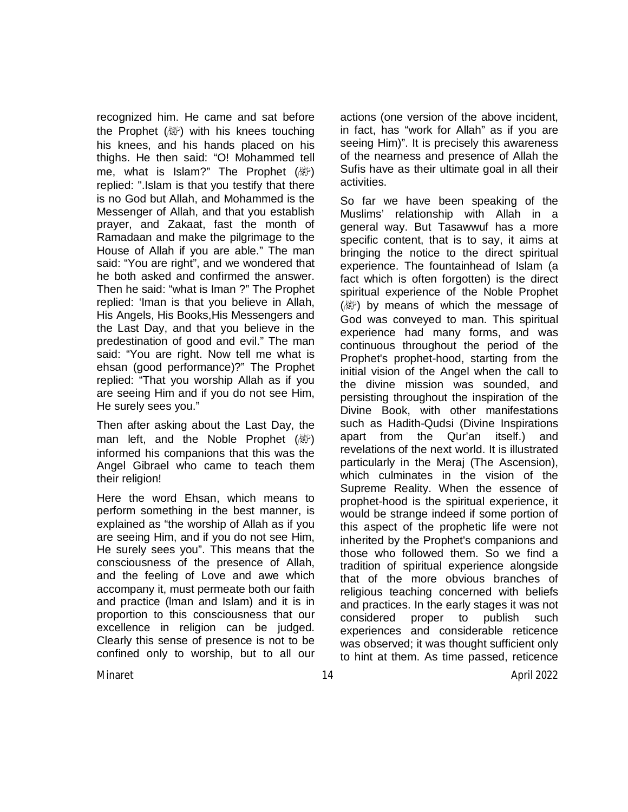recognized him. He came and sat before the Prophet (變) with his knees touching his knees, and his hands placed on his thighs. He then said: "O! Mohammed tell me, what is Islam?" The Prophet  $(\mathbb{W})$ replied: ".Islam is that you testify that there is no God but Allah, and Mohammed is the Messenger of Allah, and that you establish prayer, and Zakaat, fast the month of Ramadaan and make the pilgrimage to the House of Allah if you are able." The man said: "You are right", and we wondered that he both asked and confirmed the answer. Then he said: "what is Iman ?" The Prophet replied: 'Iman is that you believe in Allah, His Angels, His Books,His Messengers and the Last Day, and that you believe in the predestination of good and evil." The man said: "You are right. Now tell me what is ehsan (good performance)?" The Prophet replied: "That you worship Allah as if you are seeing Him and if you do not see Him, He surely sees you."

Then after asking about the Last Day, the man left, and the Noble Prophet ( apply) informed his companions that this was the Angel Gibrael who came to teach them their religion!

Here the word Ehsan, which means to perform something in the best manner, is explained as "the worship of Allah as if you are seeing Him, and if you do not see Him, He surely sees you". This means that the consciousness of the presence of Allah, and the feeling of Love and awe which accompany it, must permeate both our faith and practice (lman and Islam) and it is in proportion to this consciousness that our excellence in religion can be judged. Clearly this sense of presence is not to be confined only to worship, but to all our

actions (one version of the above incident, in fact, has "work for Allah" as if you are seeing Him)". It is precisely this awareness of the nearness and presence of Allah the Sufis have as their ultimate goal in all their activities.

So far we have been speaking of the Muslims' relationship with Allah in a general way. But Tasawwuf has a more specific content, that is to say, it aims at bringing the notice to the direct spiritual experience. The fountainhead of Islam (a fact which is often forgotten) is the direct spiritual experience of the Noble Prophet (  $\mathbb{R}^n$ ) by means of which the message of God was conveyed to man. This spiritual experience had many forms, and was continuous throughout the period of the Prophet's prophet-hood, starting from the initial vision of the Angel when the call to the divine mission was sounded, and persisting throughout the inspiration of the Divine Book, with other manifestations such as Hadith-Qudsi (Divine Inspirations apart from the Qur'an itself.) and revelations of the next world. It is illustrated particularly in the Meraj (The Ascension), which culminates in the vision of the Supreme Reality. When the essence of prophet-hood is the spiritual experience, it would be strange indeed if some portion of this aspect of the prophetic life were not inherited by the Prophet's companions and those who followed them. So we find a tradition of spiritual experience alongside that of the more obvious branches of religious teaching concerned with beliefs and practices. In the early stages it was not considered proper to publish such experiences and considerable reticence was observed; it was thought sufficient only to hint at them. As time passed, reticence

Minaret 14 April 2022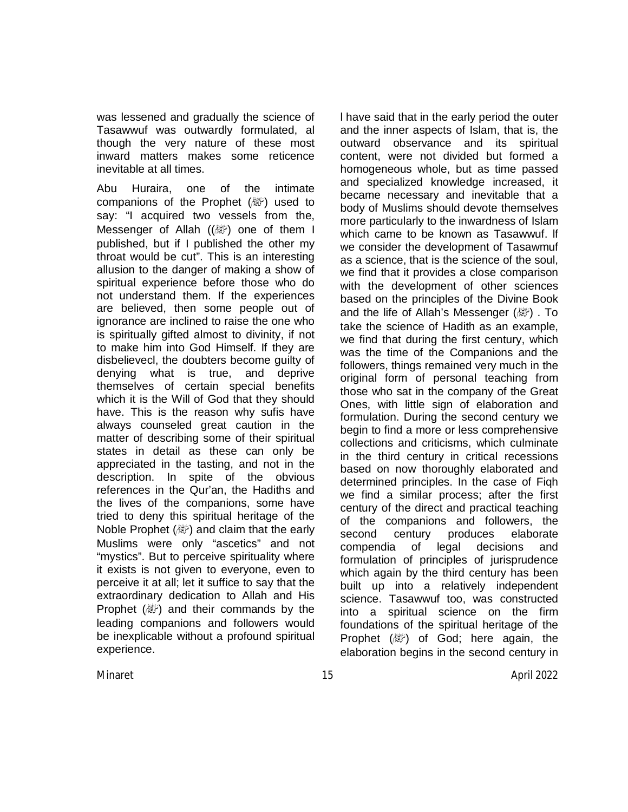was lessened and gradually the science of Tasawwuf was outwardly formulated, al though the very nature of these most inward matters makes some reticence inevitable at all times.

Abu Huraira, one of the intimate companions of the Prophet  $(\mathbb{R}^n)$  used to say: "I acquired two vessels from the, Messenger of Allah  $(\langle\mathbb{W}\rangle)$  one of them I published, but if I published the other my throat would be cut". This is an interesting allusion to the danger of making a show of spiritual experience before those who do not understand them. If the experiences are believed, then some people out of ignorance are inclined to raise the one who is spiritually gifted almost to divinity, if not to make him into God Himself. If they are disbelievecl, the doubters become guilty of denying what is true, and deprive themselves of certain special benefits which it is the Will of God that they should have. This is the reason why sufis have always counseled great caution in the matter of describing some of their spiritual states in detail as these can only be appreciated in the tasting, and not in the description. In spite of the obvious references in the Qur'an, the Hadiths and the lives of the companions, some have tried to deny this spiritual heritage of the Noble Prophet  $(\&\circ)$  and claim that the early Muslims were only "ascetics" and not "mystics". But to perceive spirituality where it exists is not given to everyone, even to perceive it at all; let it suffice to say that the extraordinary dedication to Allah and His Prophet  $(\&$ ) and their commands by the leading companions and followers would be inexplicable without a profound spiritual experience.

l have said that in the early period the outer and the inner aspects of Islam, that is, the outward observance and its spiritual content, were not divided but formed a homogeneous whole, but as time passed and specialized knowledge increased, it became necessary and inevitable that a body of Muslims should devote themselves more particularly to the inwardness of Islam which came to be known as Tasawwuf. lf we consider the development of Tasawmuf as a science, that is the science of the soul, we find that it provides a close comparison with the development of other sciences based on the principles of the Divine Book and the life of Allah's Messenger (a). To take the science of Hadith as an example, we find that during the first century, which was the time of the Companions and the followers, things remained very much in the original form of personal teaching from those who sat in the company of the Great Ones, with little sign of elaboration and formulation. During the second century we begin to find a more or less comprehensive collections and criticisms, which culminate in the third century in critical recessions based on now thoroughly elaborated and determined principles. In the case of Fiqh we find a similar process; after the first century of the direct and practical teaching of the companions and followers, the second century produces elaborate compendia of legal decisions and formulation of principles of jurisprudence which again by the third century has been built up into a relatively independent science. Tasawwuf too, was constructed into a spiritual science on the firm foundations of the spiritual heritage of the Prophet  $(\mathbb{R}^n)$  of God; here again, the elaboration begins in the second century in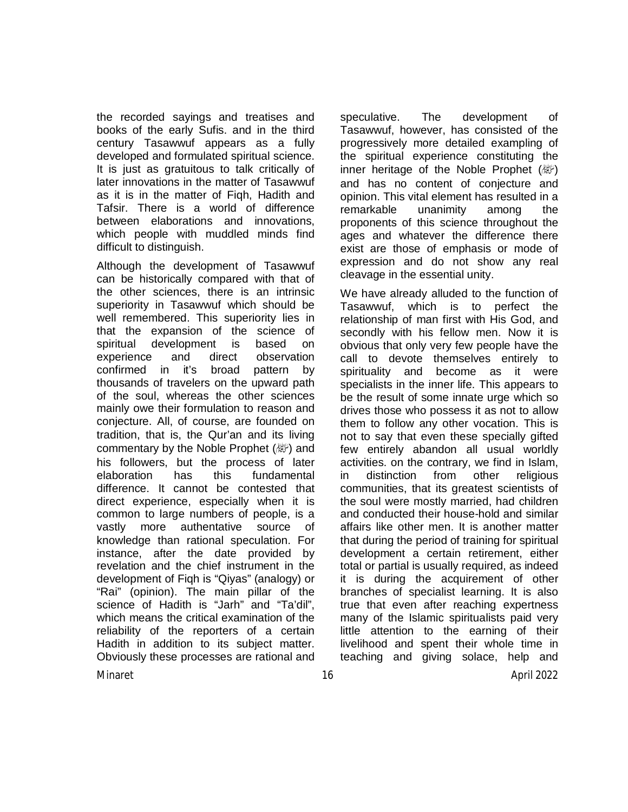the recorded sayings and treatises and books of the early Sufis. and in the third century Tasawwuf appears as a fully developed and formulated spiritual science. It is just as gratuitous to talk critically of later innovations in the matter of Tasawwuf as it is in the matter of Fiqh, Hadith and Tafsir. There is a world of difference between elaborations and innovations, which people with muddled minds find difficult to distinguish.

Although the development of Tasawwuf can be historically compared with that of the other sciences, there is an intrinsic superiority in Tasawwuf which should be well remembered. This superiority lies in that the expansion of the science of spiritual development is based on experience and direct observation confirmed in it's broad pattern by thousands of travelers on the upward path of the soul, whereas the other sciences mainly owe their formulation to reason and conjecture. All, of course, are founded on tradition, that is, the Qur'an and its living commentary by the Noble Prophet (@) and his followers, but the process of later elaboration has this fundamental difference. It cannot be contested that direct experience, especially when it is common to large numbers of people, is a vastly more authentative source of knowledge than rational speculation. For instance, after the date provided by revelation and the chief instrument in the development of Fiqh is "Qiyas" (analogy) or "Rai" (opinion). The main pillar of the science of Hadith is "Jarh" and "Ta'dil", which means the critical examination of the reliability of the reporters of a certain Hadith in addition to its subject matter. Obviously these processes are rational and

speculative. The development of Tasawwuf, however, has consisted of the progressively more detailed exampling of the spiritual experience constituting the inner heritage of the Noble Prophet  $(\mathbb{Z})$ and has no content of conjecture and opinion. This vital element has resulted in a remarkable unanimity among the proponents of this science throughout the ages and whatever the difference there exist are those of emphasis or mode of expression and do not show any real cleavage in the essential unity.

We have already alluded to the function of Tasawwuf, which is to perfect the relationship of man first with His God, and secondly with his fellow men. Now it is obvious that only very few people have the call to devote themselves entirely to spirituality and become as it were specialists in the inner life. This appears to be the result of some innate urge which so drives those who possess it as not to allow them to follow any other vocation. This is not to say that even these specially gifted few entirely abandon all usual worldly activities. on the contrary, we find in Islam, in distinction from other religious communities, that its greatest scientists of the soul were mostly married, had children and conducted their house-hold and similar affairs like other men. It is another matter that during the period of training for spiritual development a certain retirement, either total or partial is usually required, as indeed it is during the acquirement of other branches of specialist learning. It is also true that even after reaching expertness many of the Islamic spiritualists paid very little attention to the earning of their livelihood and spent their whole time in teaching and giving solace, help and

Minaret 16 April 2022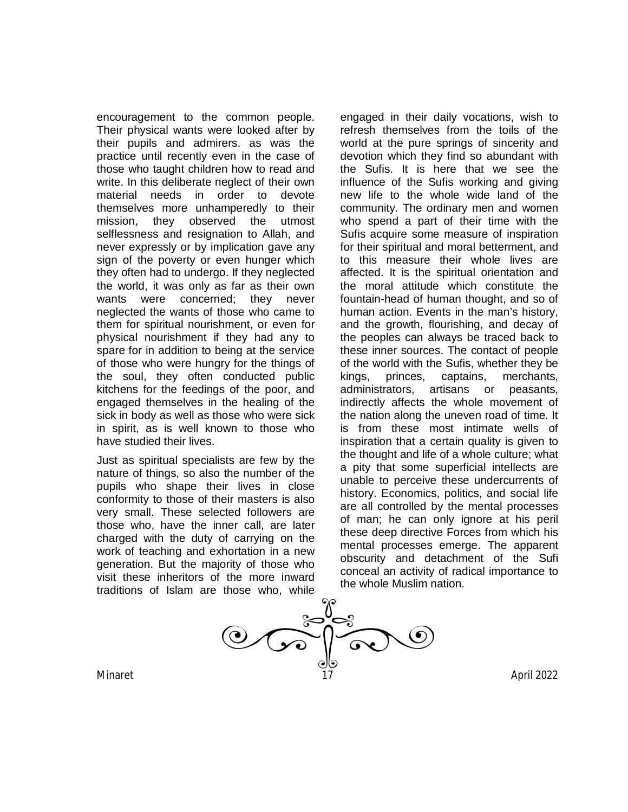encouragement to the common people. Their physical wants were looked after by their pupils and admirers. as was the practice until recently even in the case of those who taught children how to read and write. In this deliberate neglect of their own material needs in order to devote themselves more unhamperedly to their mission, they observed the utmost selflessness and resignation to Allah, and never expressly or by implication gave any sign of the poverty or even hunger which they often had to undergo. If they neglected the world, it was only as far as their own wants were concerned; they never neglected the wants of those who came to them for spiritual nourishment, or even for physical nourishment if they had any to spare for in addition to being at the service of those who were hungry for the things of the soul, they often conducted public kitchens for the feedings of the poor, and engaged themselves in the healing of the sick in body as well as those who were sick in spirit, as is well known to those who have studied their lives.

Just as spiritual specialists are few by the nature of things, so also the number of the pupils who shape their lives in close conformity to those of their masters is also very small. These selected followers are those who, have the inner call, are later charged with the duty of carrying on the work of teaching and exhortation in a new generation. But the majority of those who visit these inheritors of the more inward traditions of Islam are those who, while

engaged in their daily vocations, wish to refresh themselves from the toils of the world at the pure springs of sincerity and devotion which they find so abundant with the Sufis. It is here that we see the influence of the Sufis working and giving new life to the whole wide land of the community. The ordinary men and women who spend a part of their time with the Sufis acquire some measure of inspiration for their spiritual and moral betterment, and to this measure their whole lives are affected. It is the spiritual orientation and the moral attitude which constitute the fountain-head of human thought, and so of human action. Events in the man's history, and the growth, flourishing, and decay of the peoples can always be traced back to these inner sources. The contact of people of the world with the Sufis, whether they be kings, princes, captains, merchants, administrators, artisans or peasants, indirectly affects the whole movement of the nation along the uneven road of time. It is from these most intimate wells of inspiration that a certain quality is given to the thought and life of a whole culture; what a pity that some superficial intellects are unable to perceive these undercurrents of history. Economics, politics, and social life are all controlled by the mental processes of man; he can only ignore at his peril these deep directive Forces from which his mental processes emerge. The apparent obscurity and detachment of the Sufi conceal an activity of radical importance to the whole Muslim nation.

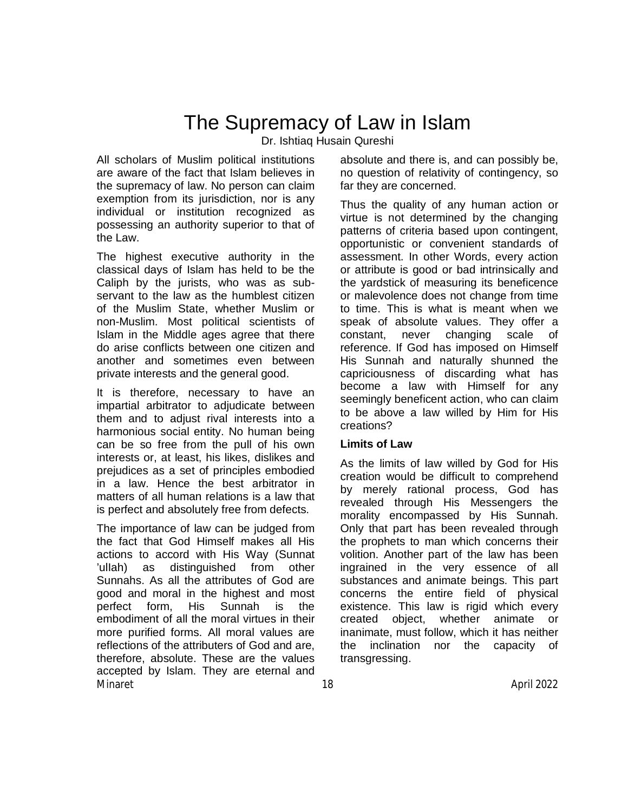## The Supremacy of Law in Islam

Dr. Ishtiaq Husain Qureshi

All scholars of Muslim political institutions are aware of the fact that Islam believes in the supremacy of law. No person can claim exemption from its jurisdiction, nor is any individual or institution recognized as possessing an authority superior to that of the Law.

The highest executive authority in the classical days of Islam has held to be the Caliph by the jurists, who was as subservant to the law as the humblest citizen of the Muslim State, whether Muslim or non-Muslim. Most political scientists of Islam in the Middle ages agree that there do arise conflicts between one citizen and another and sometimes even between private interests and the general good.

It is therefore, necessary to have an impartial arbitrator to adjudicate between them and to adjust rival interests into a harmonious social entity. No human being can be so free from the pull of his own interests or, at least, his likes, dislikes and prejudices as a set of principles embodied in a law. Hence the best arbitrator in matters of all human relations is a law that is perfect and absolutely free from defects.

Minaret 18 April 2022 The importance of law can be judged from the fact that God Himself makes all His actions to accord with His Way (Sunnat 'ulIah) as distinguished from other Sunnahs. As all the attributes of God are good and moral in the highest and most perfect form, His Sunnah is the embodiment of all the moral virtues in their more purified forms. All moral values are reflections of the attributers of God and are, therefore, absolute. These are the values accepted by Islam. They are eternal and

absolute and there is, and can possibly be, no question of relativity of contingency, so far they are concerned.

Thus the quality of any human action or virtue is not determined by the changing patterns of criteria based upon contingent, opportunistic or convenient standards of assessment. In other Words, every action or attribute is good or bad intrinsically and the yardstick of measuring its beneficence or malevolence does not change from time to time. This is what is meant when we speak of absolute values. They offer a constant, never changing scale of reference. If God has imposed on Himself His Sunnah and naturally shunned the capriciousness of discarding what has become a law with Himself for any seemingly beneficent action, who can claim to be above a law willed by Him for His creations?

## **Limits of Law**

As the limits of law willed by God for His creation would be difficult to comprehend by merely rational process, God has revealed through His Messengers the morality encompassed by His Sunnah. Only that part has been revealed through the prophets to man which concerns their volition. Another part of the law has been ingrained in the very essence of all substances and animate beings. This part concerns the entire field of physical existence. This law is rigid which every created object, whether animate or inanimate, must follow, which it has neither the inclination nor the capacity of transgressing.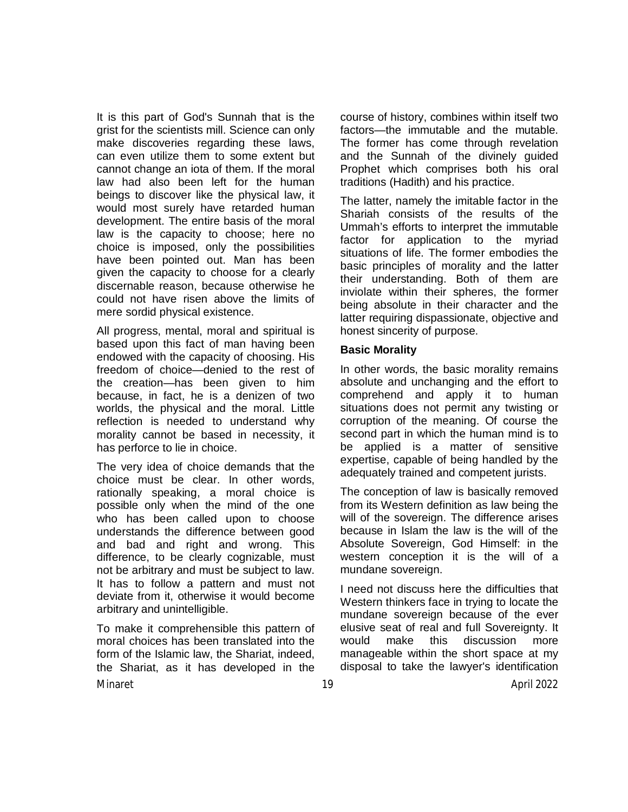It is this part of God's Sunnah that is the grist for the scientists mill. Science can only make discoveries regarding these laws, can even utilize them to some extent but cannot change an iota of them. If the moral law had also been left for the human beings to discover like the physical law, it would most surely have retarded human development. The entire basis of the moral law is the capacity to choose; here no choice is imposed, only the possibilities have been pointed out. Man has been given the capacity to choose for a clearly discernable reason, because otherwise he could not have risen above the limits of mere sordid physical existence.

All progress, mental, moral and spiritual is based upon this fact of man having been endowed with the capacity of choosing. His freedom of choice—denied to the rest of the creation—has been given to him because, in fact, he is a denizen of two worlds, the physical and the moral. Little reflection is needed to understand why morality cannot be based in necessity, it has perforce to lie in choice.

The very idea of choice demands that the choice must be clear. In other words, rationally speaking, a moral choice is possible only when the mind of the one who has been called upon to choose understands the difference between good and bad and right and wrong. This difference, to be clearly cognizable, must not be arbitrary and must be subject to law. It has to follow a pattern and must not deviate from it, otherwise it would become arbitrary and unintelligible.

Minaret 19 April 2022 To make it comprehensible this pattern of moral choices has been translated into the form of the Islamic law, the Shariat, indeed, the Shariat, as it has developed in the

course of history, combines within itself two factors—the immutable and the mutable. The former has come through revelation and the Sunnah of the divinely guided Prophet which comprises both his oral traditions (Hadith) and his practice.

The latter, namely the imitable factor in the Shariah consists of the results of the Ummah's efforts to interpret the immutable factor for application to the myriad situations of life. The former embodies the basic principles of morality and the latter their understanding. Both of them are inviolate within their spheres, the former being absolute in their character and the latter requiring dispassionate, objective and honest sincerity of purpose.

#### **Basic Morality**

In other words, the basic morality remains absolute and unchanging and the effort to comprehend and apply it to human situations does not permit any twisting or corruption of the meaning. Of course the second part in which the human mind is to be applied is a matter of sensitive expertise, capable of being handled by the adequately trained and competent jurists.

The conception of law is basically removed from its Western definition as law being the will of the sovereign. The difference arises because in Islam the law is the will of the Absolute Sovereign, God Himself: in the western conception it is the will of a mundane sovereign.

I need not discuss here the difficulties that Western thinkers face in trying to locate the mundane sovereign because of the ever elusive seat of real and full Sovereignty. It would make this discussion more manageable within the short space at my disposal to take the lawyer's identification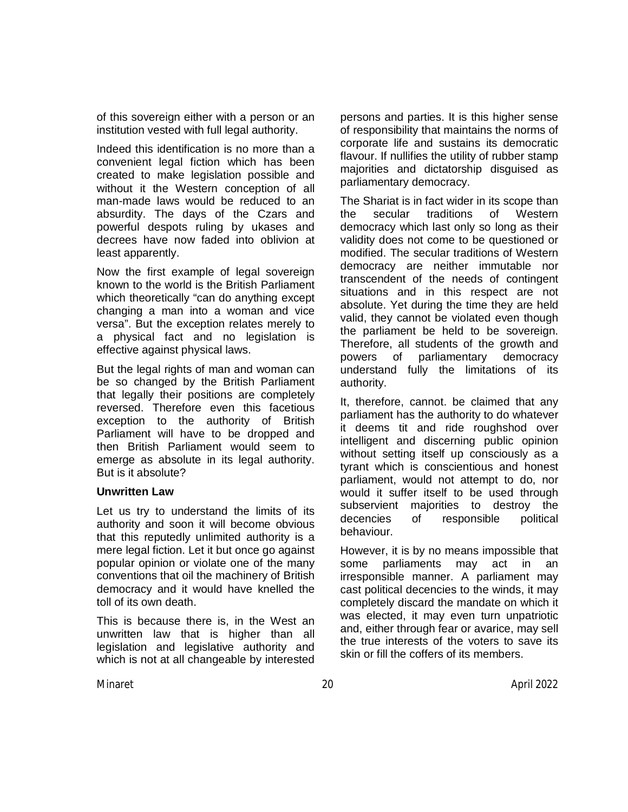of this sovereign either with a person or an institution vested with full legal authority.

Indeed this identification is no more than a convenient legal fiction which has been created to make legislation possible and without it the Western conception of all man-made laws would be reduced to an absurdity. The days of the Czars and powerful despots ruling by ukases and decrees have now faded into oblivion at least apparently.

Now the first example of legal sovereign known to the world is the British Parliament which theoretically "can do anything except changing a man into a woman and vice versa". But the exception relates merely to a physical fact and no legislation is effective against physical laws.

But the legal rights of man and woman can be so changed by the British Parliament that legally their positions are completely reversed. Therefore even this facetious exception to the authority of British Parliament will have to be dropped and then British Parliament would seem to emerge as absolute in its legal authority. But is it absolute?

## **Unwritten Law**

Let us try to understand the limits of its authority and soon it will become obvious that this reputedly unlimited authority is a mere legal fiction. Let it but once go against popular opinion or violate one of the many conventions that oil the machinery of British democracy and it would have knelled the toll of its own death.

This is because there is, in the West an unwritten law that is higher than all legislation and legislative authority and which is not at all changeable by interested

persons and parties. It is this higher sense of responsibility that maintains the norms of corporate life and sustains its democratic flavour. If nullifies the utility of rubber stamp majorities and dictatorship disguised as parliamentary democracy.

The Shariat is in fact wider in its scope than the secular traditions of Western democracy which last only so long as their validity does not come to be questioned or modified. The secular traditions of Western democracy are neither immutable nor transcendent of the needs of contingent situations and in this respect are not absolute. Yet during the time they are held valid, they cannot be violated even though the parliament be held to be sovereign. Therefore, all students of the growth and powers of parliamentary democracy understand fully the limitations of its authority.

It, therefore, cannot. be claimed that any parliament has the authority to do whatever it deems tit and ride roughshod over intelligent and discerning public opinion without setting itself up consciously as a tyrant which is conscientious and honest parliament, would not attempt to do, nor would it suffer itself to be used through subservient majorities to destroy the decencies of responsible political behaviour.

However, it is by no means impossible that some parliaments may act in an irresponsible manner. A parliament may cast political decencies to the winds, it may completely discard the mandate on which it was elected, it may even turn unpatriotic and, either through fear or avarice, may sell the true interests of the voters to save its skin or fill the coffers of its members.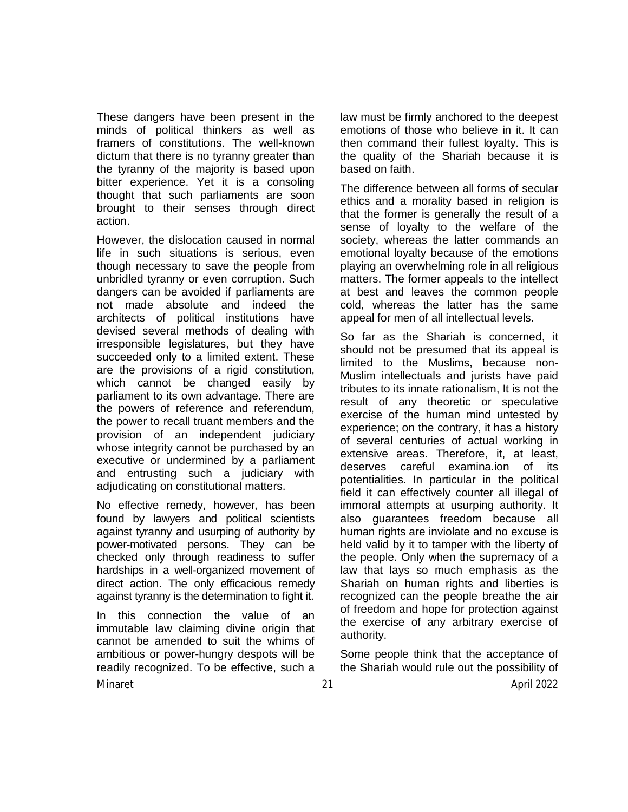These dangers have been present in the minds of political thinkers as well as framers of constitutions. The well-known dictum that there is no tyranny greater than the tyranny of the majority is based upon bitter experience. Yet it is a consoling thought that such parliaments are soon brought to their senses through direct action.

However, the dislocation caused in normal life in such situations is serious, even though necessary to save the people from unbridled tyranny or even corruption. Such dangers can be avoided if parliaments are not made absolute and indeed the architects of political institutions have devised several methods of dealing with irresponsible legislatures, but they have succeeded only to a limited extent. These are the provisions of a rigid constitution, which cannot be changed easily by parliament to its own advantage. There are the powers of reference and referendum, the power to recall truant members and the provision of an independent judiciary whose integrity cannot be purchased by an executive or undermined by a parliament and entrusting such a judiciary with adjudicating on constitutional matters.

No effective remedy, however, has been found by lawyers and political scientists against tyranny and usurping of authority by power-motivated persons. They can be checked only through readiness to suffer hardships in a well-organized movement of direct action. The only efficacious remedy against tyranny is the determination to fight it.

In this connection the value of an immutable law claiming divine origin that cannot be amended to suit the whims of ambitious or power-hungry despots will be readily recognized. To be effective, such a

law must be firmly anchored to the deepest emotions of those who believe in it. It can then command their fullest loyalty. This is the quality of the Shariah because it is based on faith.

The difference between all forms of secular ethics and a morality based in religion is that the former is generally the result of a sense of loyalty to the welfare of the society, whereas the latter commands an emotional loyalty because of the emotions playing an overwhelming role in all religious matters. The former appeals to the intellect at best and leaves the common people cold, whereas the latter has the same appeal for men of all intellectual levels.

So far as the Shariah is concerned, it should not be presumed that its appeal is limited to the Muslims, because non-Muslim intellectuals and jurists have paid tributes to its innate rationalism, It is not the result of any theoretic or speculative exercise of the human mind untested by experience; on the contrary, it has a history of several centuries of actual working in extensive areas. Therefore, it, at least, deserves careful examina.ion of its potentialities. In particular in the political field it can effectively counter all illegal of immoral attempts at usurping authority. It also guarantees freedom because all human rights are inviolate and no excuse is held valid by it to tamper with the liberty of the people. Only when the supremacy of a law that lays so much emphasis as the Shariah on human rights and liberties is recognized can the people breathe the air of freedom and hope for protection against the exercise of any arbitrary exercise of authority.

Some people think that the acceptance of the Shariah would rule out the possibility of

Minaret 21 April 2022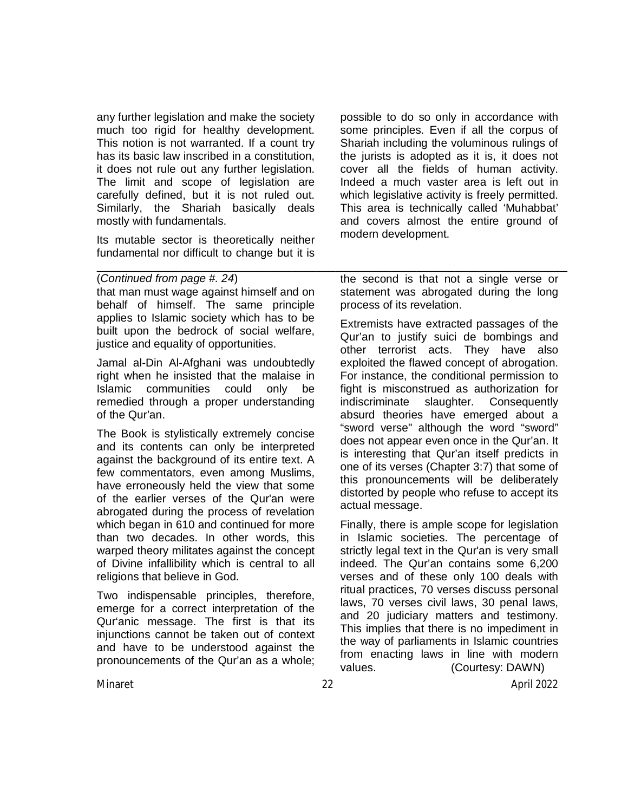any further legislation and make the society much too rigid for healthy development. This notion is not warranted. If a count try has its basic law inscribed in a constitution, it does not rule out any further legislation. The limit and scope of legislation are carefully defined, but it is not ruled out. Similarly, the Shariah basically deals mostly with fundamentals.

Its mutable sector is theoretically neither fundamental nor difficult to change but it is

that man must wage against himself and on behalf of himself. The same principle applies to Islamic society which has to be built upon the bedrock of social welfare,

Jamal al-Din Al-Afghani was undoubtedly right when he insisted that the malaise in Islamic communities could only be remedied through a proper understanding

The Book is stylistically extremely concise and its contents can only be interpreted against the background of its entire text. A few commentators, even among Muslims, have erroneously held the view that some of the earlier verses of the Qur'an were abrogated during the process of revelation which began in 610 and continued for more than two decades. In other words, this warped theory militates against the concept of Divine infallibility which is central to all

Two indispensable principles, therefore, emerge for a correct interpretation of the Qur'anic message. The first is that its injunctions cannot be taken out of context and have to be understood against the pronouncements of the Qur'an as a whole;

justice and equality of opportunities.

(*Continued from page #. 24*)

religions that believe in God.

of the Qur'an.

possible to do so only in accordance with some principles. Even if all the corpus of Shariah including the voluminous rulings of the jurists is adopted as it is, it does not cover all the fields of human activity. Indeed a much vaster area is left out in which legislative activity is freely permitted. This area is technically called 'Muhabbat' and covers almost the entire ground of modern development.

the second is that not a single verse or statement was abrogated during the long process of its revelation.

\_\_\_\_\_\_\_\_\_\_\_\_\_\_\_\_\_\_\_\_\_\_\_\_\_\_\_\_\_\_\_\_\_\_\_\_\_\_\_\_\_\_\_\_\_\_\_\_\_\_\_\_\_\_\_\_\_\_\_\_\_\_\_\_\_\_\_\_\_\_\_\_\_\_\_

Extremists have extracted passages of the Qur'an to justify suici de bombings and other terrorist acts. They have also exploited the flawed concept of abrogation. For instance, the conditional permission to fight is misconstrued as authorization for indiscriminate slaughter. Consequently absurd theories have emerged about a "sword verse" although the word "sword" does not appear even once in the Qur'an. It is interesting that Qur'an itself predicts in one of its verses (Chapter 3:7) that some of this pronouncements will be deliberately distorted by people who refuse to accept its actual message.

Finally, there is ample scope for legislation in Islamic societies. The percentage of strictly legal text in the Qur'an is very small indeed. The Qur'an contains some 6,200 verses and of these only 100 deals with ritual practices, 70 verses discuss personal laws, 70 verses civil laws, 30 penal laws, and 20 judiciary matters and testimony. This implies that there is no impediment in the way of parliaments in Islamic countries from enacting laws in line with modern values. (Courtesy: DAWN)

Minaret 22 April 2022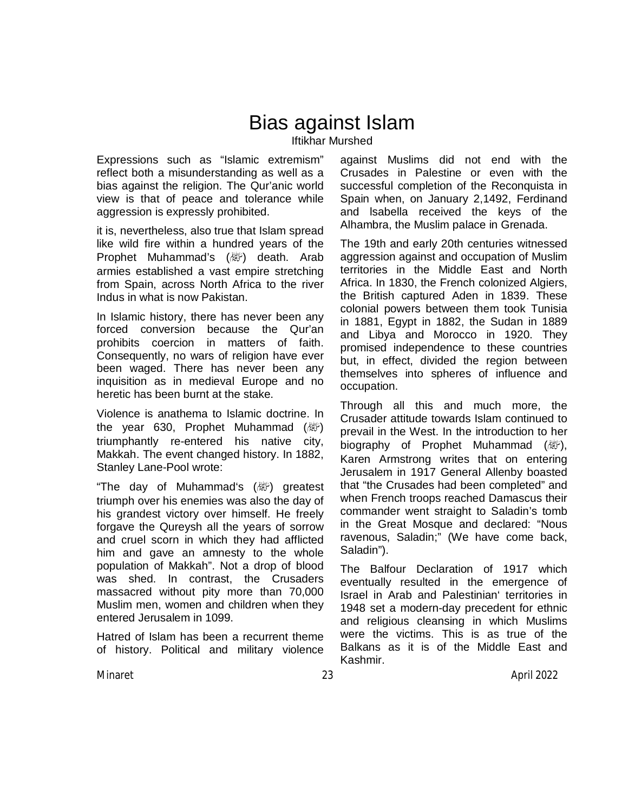## Bias against Islam Iftikhar Murshed

Expressions such as "Islamic extremism" reflect both a misunderstanding as well as a bias against the religion. The Qur'anic world view is that of peace and tolerance while aggression is expressly prohibited.

it is, nevertheless, also true that Islam spread like wild fire within a hundred years of the Prophet Muhammad's (ﷺ) death. Arab armies established a vast empire stretching from Spain, across North Africa to the river Indus in what is now Pakistan.

In Islamic history, there has never been any forced conversion because the Qur'an prohibits coercion in matters of faith. Consequently, no wars of religion have ever been waged. There has never been any inquisition as in medieval Europe and no heretic has been burnt at the stake.

Violence is anathema to Islamic doctrine. In the year 630, Prophet Muhammad  $(\mathbb{H})$ triumphantly re-entered his native city, Makkah. The event changed history. In 1882, Stanley Lane-Pool wrote:

"The day of Muhammad's (apply) greatest triumph over his enemies was also the day of his grandest victory over himself. He freely forgave the Qureysh all the years of sorrow and cruel scorn in which they had afflicted him and gave an amnesty to the whole population of Makkah". Not a drop of blood was shed. In contrast, the Crusaders massacred without pity more than 70,000 Muslim men, women and children when they entered Jerusalem in 1099.

Hatred of Islam has been a recurrent theme of history. Political and military violence against Muslims did not end with the Crusades in Palestine or even with the successful completion of the Reconquista in Spain when, on January 2,1492, Ferdinand and lsabella received the keys of the Alhambra, the Muslim palace in Grenada.

The 19th and early 20th centuries witnessed aggression against and occupation of Muslim territories in the Middle East and North Africa. In 1830, the French colonized Algiers, the British captured Aden in 1839. These colonial powers between them took Tunisia in 1881, Egypt in 1882, the Sudan in 1889 and Libya and Morocco in 1920. They promised independence to these countries but, in effect, divided the region between themselves into spheres of influence and occupation.

Through all this and much more, the Crusader attitude towards Islam continued to prevail in the West. In the introduction to her biography of Prophet Muhammad (*剛*), Karen Armstrong writes that on entering Jerusalem in 1917 General Allenby boasted that "the Crusades had been completed" and when French troops reached Damascus their commander went straight to Saladin's tomb in the Great Mosque and declared: "Nous ravenous, Saladin;" (We have come back, Saladin").

The Balfour Declaration of 1917 which eventually resulted in the emergence of Israel in Arab and Palestinian' territories in 1948 set a modern-day precedent for ethnic and religious cleansing in which Muslims were the victims. This is as true of the Balkans as it is of the Middle East and Kashmir.

Minaret 23 April 2022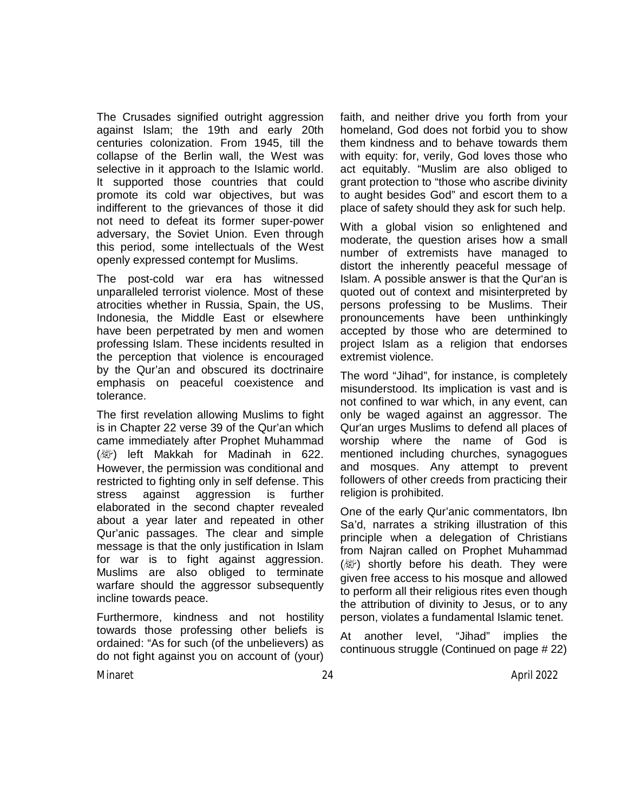The Crusades signified outright aggression against Islam; the 19th and early 20th centuries colonization. From 1945, till the collapse of the Berlin wall, the West was selective in it approach to the Islamic world. It supported those countries that could promote its cold war objectives, but was indifferent to the grievances of those it did not need to defeat its former super-power adversary, the Soviet Union. Even through this period, some intellectuals of the West openly expressed contempt for Muslims.

The post-cold war era has witnessed unparalleled terrorist violence. Most of these atrocities whether in Russia, Spain, the US, Indonesia, the Middle East or elsewhere have been perpetrated by men and women professing Islam. These incidents resulted in the perception that violence is encouraged by the Qur'an and obscured its doctrinaire emphasis on peaceful coexistence and tolerance.

The first revelation allowing Muslims to fight is in Chapter 22 verse 39 of the Qur'an which came immediately after Prophet Muhammad  $(\&$ ) left Makkah for Madinah in 622. However, the permission was conditional and restricted to fighting only in self defense. This stress against aggression is further elaborated in the second chapter revealed about a year later and repeated in other Qur'anic passages. The clear and simple message is that the only justification in Islam for war is to fight against aggression. Muslims are also obliged to terminate warfare should the aggressor subsequently incline towards peace.

Furthermore, kindness and not hostility towards those professing other beliefs is ordained: "As for such (of the unbelievers) as do not fight against you on account of (your) faith, and neither drive you forth from your homeland, God does not forbid you to show them kindness and to behave towards them with equity: for, verily, God loves those who act equitably. "Muslim are also obliged to grant protection to "those who ascribe divinity to aught besides God" and escort them to a place of safety should they ask for such help.

With a global vision so enlightened and moderate, the question arises how a small number of extremists have managed to distort the inherently peaceful message of Islam. A possible answer is that the Qur'an is quoted out of context and misinterpreted by persons professing to be Muslims. Their pronouncements have been unthinkingly accepted by those who are determined to project Islam as a religion that endorses extremist violence.

The word "Jihad", for instance, is completely misunderstood. Its implication is vast and is not confined to war which, in any event, can only be waged against an aggressor. The Qur'an urges Muslims to defend all places of worship where the name of God is mentioned including churches, synagogues and mosques. Any attempt to prevent followers of other creeds from practicing their religion is prohibited.

One of the early Qur'anic commentators, Ibn Sa'd, narrates a striking illustration of this principle when a delegation of Christians from Najran called on Prophet Muhammad  $(\&$ ) shortly before his death. They were given free access to his mosque and allowed to perform all their religious rites even though the attribution of divinity to Jesus, or to any person, violates a fundamental Islamic tenet.

At another level, "Jihad" implies the continuous struggle (Continued on page # 22)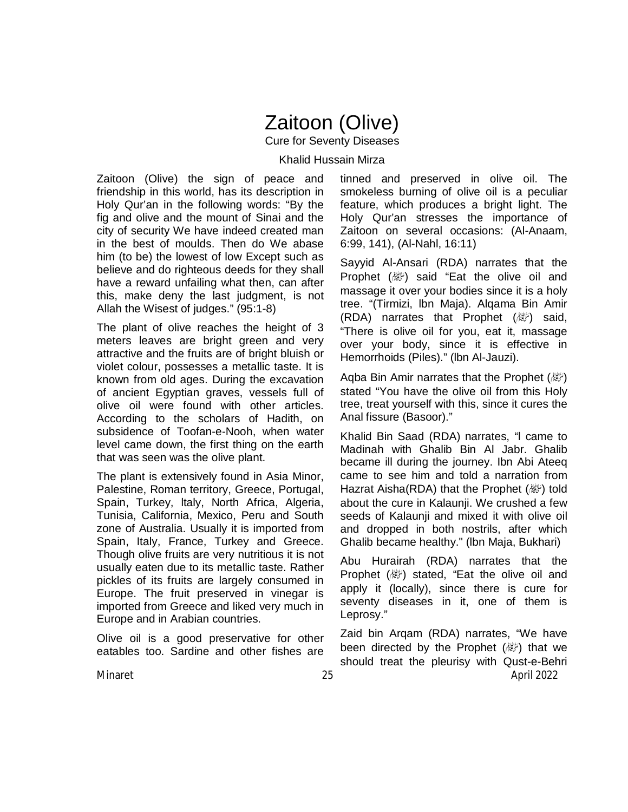## Zaitoon (Olive)

Cure for Seventy Diseases

Khalid Hussain Mirza

Zaitoon (Olive) the sign of peace and friendship in this world, has its description in Holy Qur'an in the following words: "By the fig and olive and the mount of Sinai and the city of security We have indeed created man in the best of moulds. Then do We abase him (to be) the lowest of low Except such as believe and do righteous deeds for they shall have a reward unfailing what then, can after this, make deny the last judgment, is not Allah the Wisest of judges." (95:1-8)

The plant of olive reaches the height of 3 meters leaves are bright green and very attractive and the fruits are of bright bluish or violet colour, possesses a metallic taste. It is known from old ages. During the excavation of ancient Egyptian graves, vessels full of olive oil were found with other articles. According to the scholars of Hadith, on subsidence of Toofan-e-Nooh, when water level came down, the first thing on the earth that was seen was the olive plant.

The plant is extensively found in Asia Minor, Palestine, Roman territory, Greece, Portugal, Spain, Turkey, ltaly, North Africa, Algeria, Tunisia, California, Mexico, Peru and South zone of Australia. Usually it is imported from Spain, Italy, France, Turkey and Greece. Though olive fruits are very nutritious it is not usually eaten due to its metallic taste. Rather pickles of its fruits are largely consumed in Europe. The fruit preserved in vinegar is imported from Greece and liked very much in Europe and in Arabian countries.

Olive oil is a good preservative for other eatables too. Sardine and other fishes are

tinned and preserved in olive oil. The smokeless burning of olive oil is a peculiar feature, which produces a bright light. The Holy Qur'an stresses the importance of Zaitoon on several occasions: (Al-Anaam, 6:99, 141), (Al-Nahl, 16:11)

Sayyid Al-Ansari (RDA) narrates that the Prophet ( ) said "Eat the olive oil and massage it over your bodies since it is a holy tree. "(Tirmizi, lbn Maja). Alqama Bin Amir (RDA) narrates that Prophet  $(\&$ ) said, "There is olive oil for you, eat it, massage over your body, since it is effective in Hemorrhoids (Piles)." (lbn Al-Jauzi).

Aqba Bin Amir narrates that the Prophet (變) stated "You have the olive oil from this Holy tree, treat yourself with this, since it cures the Anal fissure (Basoor)."

Khalid Bin Saad (RDA) narrates, "l came to Madinah with Ghalib Bin Al Jabr. Ghalib became ill during the journey. Ibn Abi Ateeq came to see him and told a narration from Hazrat Aisha(RDA) that the Prophet  $(\&$ ) told about the cure in Kalaunji. We crushed a few seeds of Kalaunji and mixed it with olive oil and dropped in both nostrils, after which Ghalib became healthy." (lbn Maja, Bukhari)

Abu Hurairah (RDA) narrates that the Prophet ( ) stated, "Eat the olive oil and apply it (locally), since there is cure for seventy diseases in it, one of them is Leprosy."

Minaret 25 April 2022 Zaid bin Arqam (RDA) narrates, "We have been directed by the Prophet (纖) that we should treat the pleurisy with Qust-e-Behri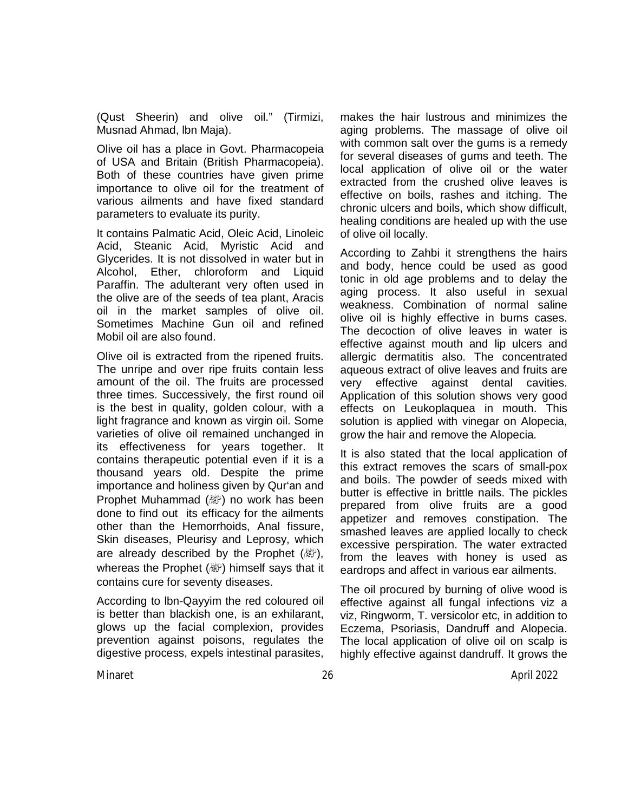(Qust Sheerin) and olive oil." (Tirmizi, Musnad Ahmad, lbn Maja).

Olive oil has a place in Govt. Pharmacopeia of USA and Britain (British Pharmacopeia). Both of these countries have given prime importance to olive oil for the treatment of various ailments and have fixed standard parameters to evaluate its purity.

It contains Palmatic Acid, Oleic Acid, Linoleic Acid, Steanic Acid, Myristic Acid and Glycerides. It is not dissolved in water but in Alcohol, Ether, chloroform and Liquid Paraffin. The adulterant very often used in the olive are of the seeds of tea plant, Aracis oil in the market samples of olive oil. Sometimes Machine Gun oil and refined Mobil oil are also found.

Olive oil is extracted from the ripened fruits. The unripe and over ripe fruits contain less amount of the oil. The fruits are processed three times. Successively, the first round oil is the best in quality, golden colour, with a light fragrance and known as virgin oil. Some varieties of olive oil remained unchanged in its effectiveness for years together. It contains therapeutic potential even if it is a thousand years old. Despite the prime importance and holiness given by Qur'an and Prophet Muhammad (صلى الله عليه وسلم (no work has been done to find out its efficacy for the ailments other than the Hemorrhoids, Anal fissure, Skin diseases, Pleurisy and Leprosy, which are already described by the Prophet  $(\mathbb{Z})$ , whereas the Prophet (ﷺ) himself says that it contains cure for seventy diseases.

According to lbn-Qayyim the red coloured oil is better than blackish one, is an exhilarant, glows up the facial complexion, provides prevention against poisons, regulates the digestive process, expels intestinal parasites,

makes the hair lustrous and minimizes the aging problems. The massage of olive oil with common salt over the gums is a remedy for several diseases of gums and teeth. The local application of olive oil or the water extracted from the crushed olive leaves is effective on boils, rashes and itching. The chronic ulcers and boils, which show difficult, healing conditions are healed up with the use of olive oil locally.

According to Zahbi it strengthens the hairs and body, hence could be used as good tonic in old age problems and to delay the aging process. It also useful in sexual weakness. Combination of normal saline olive oil is highly effective in burns cases. The decoction of olive leaves in water is effective against mouth and lip ulcers and allergic dermatitis also. The concentrated aqueous extract of olive leaves and fruits are very effective against dental cavities. Application of this solution shows very good effects on Leukoplaquea in mouth. This solution is applied with vinegar on Alopecia, grow the hair and remove the Alopecia.

It is also stated that the local application of this extract removes the scars of small-pox and boils. The powder of seeds mixed with butter is effective in brittle nails. The pickles prepared from olive fruits are a good appetizer and removes constipation. The smashed leaves are applied locally to check excessive perspiration. The water extracted from the leaves with honey is used as eardrops and affect in various ear ailments.

The oil procured by burning of olive wood is effective against all fungal infections viz a viz, Ringworm, T. versicolor etc, in addition to Eczema, Psoriasis, Dandruff and Alopecia. The local application of olive oil on scalp is highly effective against dandruff. It grows the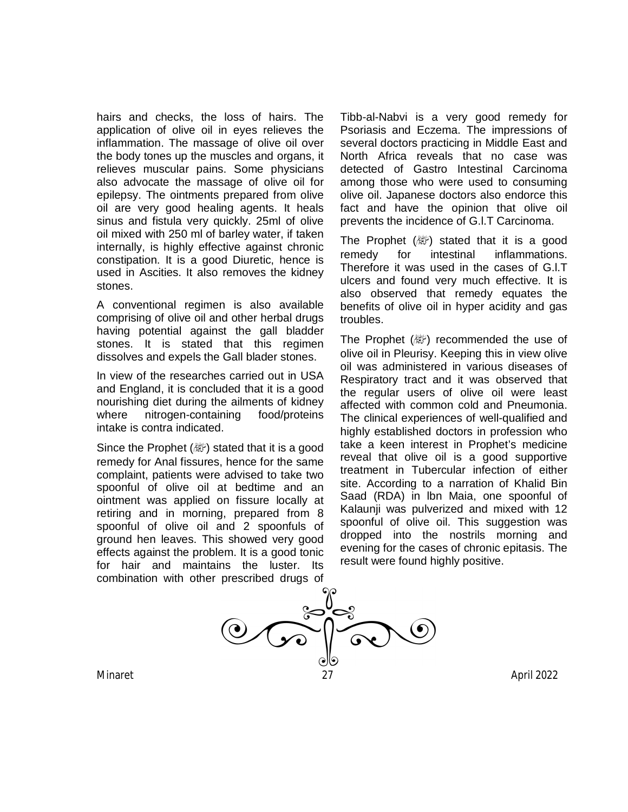hairs and checks, the loss of hairs. The application of olive oil in eyes relieves the inflammation. The massage of olive oil over the body tones up the muscles and organs, it relieves muscular pains. Some physicians also advocate the massage of olive oil for epilepsy. The ointments prepared from olive oil are very good healing agents. It heals sinus and fistula very quickly. 25ml of olive oil mixed with 250 ml of barley water, if taken internally, is highly effective against chronic constipation. It is a good Diuretic, hence is used in Ascities. It also removes the kidney stones.

A conventional regimen is also available comprising of olive oil and other herbal drugs having potential against the gall bladder stones. It is stated that this regimen dissolves and expels the Gall blader stones.

In view of the researches carried out in USA and England, it is concluded that it is a good nourishing diet during the ailments of kidney where nitrogen-containing food/proteins intake is contra indicated.

Since the Prophet ( $\mathbb{E}$ ) stated that it is a good remedy for Anal fissures, hence for the same complaint, patients were advised to take two spoonful of olive oil at bedtime and an ointment was applied on fissure locally at retiring and in morning, prepared from 8 spoonful of olive oil and 2 spoonfuls of ground hen leaves. This showed very good effects against the problem. It is a good tonic for hair and maintains the luster. Its combination with other prescribed drugs of

Tibb-al-Nabvi is a very good remedy for Psoriasis and Eczema. The impressions of several doctors practicing in Middle East and North Africa reveals that no case was detected of Gastro Intestinal Carcinoma among those who were used to consuming olive oil. Japanese doctors also endorce this fact and have the opinion that olive oil prevents the incidence of G.l.T Carcinoma.

The Prophet  $(\mathbb{Z})$  stated that it is a good remedy for intestinal inflammations. Therefore it was used in the cases of G.l.T ulcers and found very much effective. It is also observed that remedy equates the benefits of olive oil in hyper acidity and gas troubles.

The Prophet  $(\&$  and recommended the use of olive oil in Pleurisy. Keeping this in view olive oil was administered in various diseases of Respiratory tract and it was observed that the regular users of olive oil were least affected with common cold and Pneumonia. The clinical experiences of well-qualified and highly established doctors in profession who take a keen interest in Prophet's medicine reveal that olive oil is a good supportive treatment in Tubercular infection of either site. According to a narration of Khalid Bin Saad (RDA) in lbn Maia, one spoonful of Kalaunji was pulverized and mixed with 12 spoonful of olive oil. This suggestion was dropped into the nostrils morning and evening for the cases of chronic epitasis. The result were found highly positive.

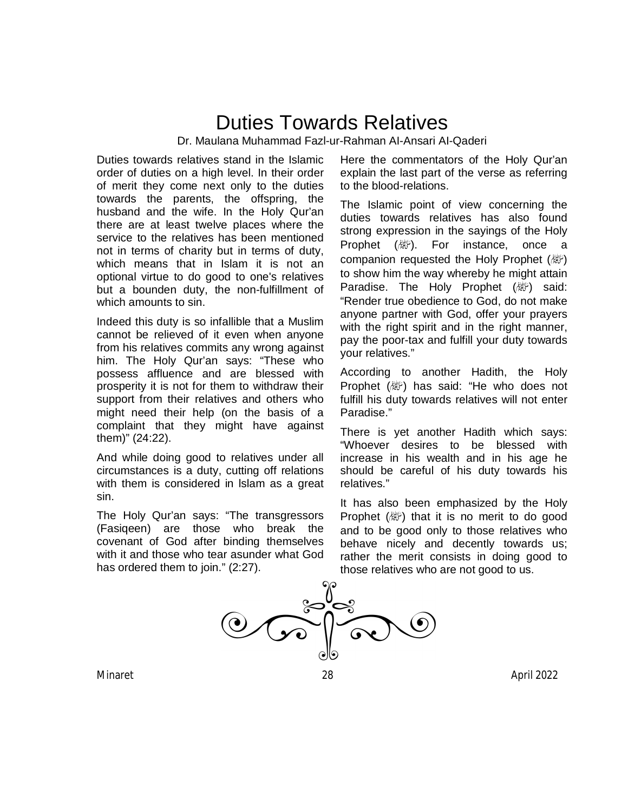## Duties Towards Relatives Dr. Maulana Muhammad Fazl-ur-Rahman AI-Ansari AI-Qaderi

Duties towards relatives stand in the Islamic order of duties on a high level. In their order of merit they come next only to the duties towards the parents, the offspring, the husband and the wife. In the Holy Qur'an there are at least twelve places where the service to the relatives has been mentioned not in terms of charity but in terms of duty, which means that in Islam it is not an optional virtue to do good to one's relatives but a bounden duty, the non-fulfillment of which amounts to sin.

Indeed this duty is so infallible that a Muslim cannot be relieved of it even when anyone from his relatives commits any wrong against him. The Holy Qur'an says: "These who possess affluence and are blessed with prosperity it is not for them to withdraw their support from their relatives and others who might need their help (on the basis of a complaint that they might have against them)" (24:22).

And while doing good to relatives under all circumstances is a duty, cutting off relations with them is considered in lslam as a great sin.

The Holy Qur'an says: "The transgressors (Fasiqeen) are those who break the covenant of God after binding themselves with it and those who tear asunder what God has ordered them to join." (2:27).

Here the commentators of the Holy Qur'an explain the last part of the verse as referring to the blood-relations.

The Islamic point of view concerning the duties towards relatives has also found strong expression in the sayings of the Holy Prophet (*剛*). For instance, once a companion requested the Holy Prophet (*剛*) to show him the way whereby he might attain Paradise. The Holy Prophet ( ) said: "Render true obedience to God, do not make anyone partner with God, offer your prayers with the right spirit and in the right manner, pay the poor-tax and fulfill your duty towards your relatives."

According to another Hadith, the Holy Prophet ( ) has said: "He who does not fulfill his duty towards relatives will not enter Paradise."

There is yet another Hadith which says: "Whoever desires to be blessed with increase in his wealth and in his age he should be careful of his duty towards his relatives."

It has also been emphasized by the Holy Prophet  $(\mathbb{Z})$  that it is no merit to do good and to be good only to those relatives who behave nicely and decently towards us; rather the merit consists in doing good to those relatives who are not good to us.



Minaret 28 April 2022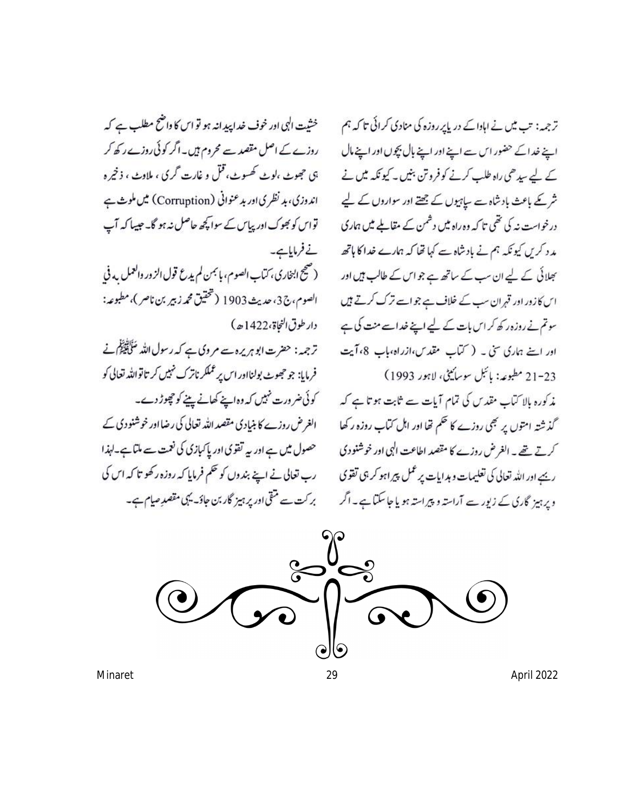خشیت الہی اور خوف غدا پیدانہ ہو تو اس کا داضح مطلب ہے کہ روزے کے اصل مقصد سے محروم ہیں۔اگر کوئی روزے رکھ کر ېي حجوبے ،لوپے کھسوپ، قتل و غارت گري ، ملاوپ ، ذخير ه اندوزی، بد نظری اور بد عنوانی (Corruption) میں ملوث ہے تواس کو بھوک اور پیاس کے سوا کچھ حاصل نہ ہو گا۔ جیسا کہ آپ نے فرمایاہے۔ (صحيح ابنخاري، كتاب الصوم، بإنجمن لم يدع قول الزور والعمل به في الصوم، ج3، حديث 1903 (تحقيق محمد زبير بن ناصر)، مطبوعه: دار طوق النجاة، 1422ﻫ) ترجمہ: حضرت ابو ہر پرہ سے مر وی ہے کہ رسول اللہ سَلَاتِیْکُلِ نے فرمایا: جو حجھوٹ بولنااور اس پر عملکر ناترک نہیں کر تاتواللہ تعالی کو کوئی ضرورت نہیں کہ وہ اپنے کھانے پینے کو چھوڑ دے۔ الغرض روزے کا بنیادی مقصد اللہ تعالی کی رضا اور خوشنو دی کے حصول میں ہے اور یہ تقوی اور پاکپازی کی نعمت سے ملتا ہے۔لہذا رب تعالی نے اپنے بندوں کو حکم فرمایا کہ روزہ رکھو تا کہ اس کی بر کت سے متقی اور پر ہیز گار بن جاؤ۔ یہی مقصدِ صیام ہے۔

تر جہہ: تب میں نے اہادا کے دریا پر روزہ کی منادی کرائی تا کہ ہم اپنے خداکے حضور اس ہے اپنے اور اپنے بال بچوں اور اپنے مال کے لیے سیدھی راہ طلب کرنے کو فروتن بنیں۔ کیونکہ میں نے شر کے باعث بادشاہ سے ساہیوں کے جھتے اور سواروں کے لیے درخواست نہ کی تھی تا کہ وہ راہ میں دشمن کے مقاملے میں ہماری مد د کریں کیونکہ ہم نے بادشاہ سے کہا تھا کہ ہمارے خدا کا ہاتھ بھلائی کے لیے ان سب کے ساتھ ہے جو اس کے طالب ہیں اور اس کازور اور قہران سب کے خلاف ہے جو اسے ترک کرتے ہیں سوتم نے روزہ رکھ کر اس بات کے لیے اپنے خداسے منت کی ہے اور اپنے ہماری سی ۔ (سماب مقدس،ازراہ،باب 8، آیت 21-23 مطبوعه: پائبل سوسائیٹی، لاہور 1993) مذکورہ بالا کتاب مقدس کی تمام آیات سے ثابت ہو تا ہے کہ گذشتہ امتوں پر بھی روزے کا حکم تھا اور اہل کتاب روزہ رکھا کرتے تھے۔ الغرض روزے کا مقصد اطاعت الٰہی اور خوشنودی ریہے اور اللہ تعالی کی تعلیمات و ہدایات پر عمل پیراہو کر ہی تقوی وپرہیز گاری کے زیور سے آراستہ و پیراستہ ہو یا جاسکتا ہے۔ اگر

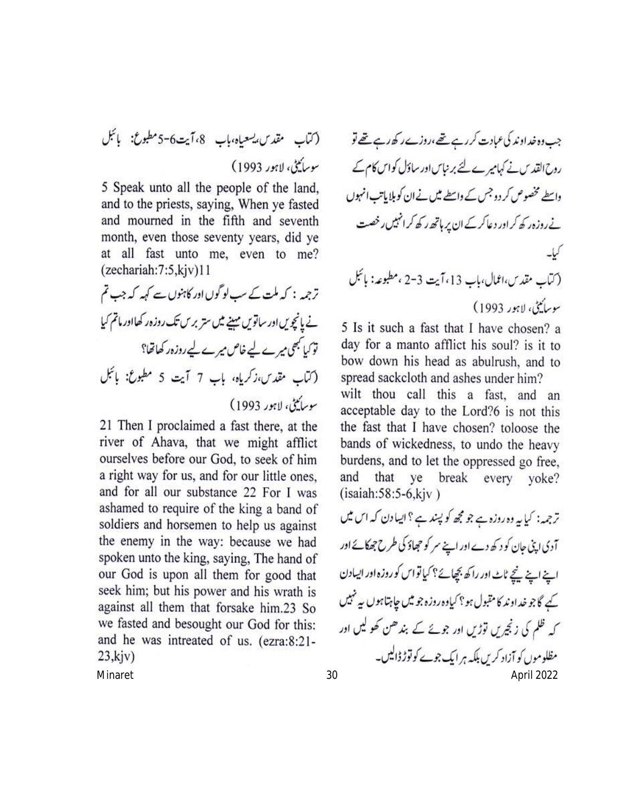5 Speak unto all the people of the land, and to the priests, saying, When ye fasted and mourned in the fifth and seventh month, even those seventy years, did ye at all fast unto me, even to me?  $(zechariah:7:5,kiv)11$ 

ترجمہ : کہ ملت کے سب لوگوں اور کاہنوں سے کہہ کہ جب تم نے یانچویں اور ساتویں مہینے میں ستر برس تک روزہ رکھااور ماتم کیا توکیا کبھی میرے لیے خاص میرے لیے روزہ رکھاتھا؟ (كتاب مقدس،زكرياه، باب 7 آيت 5 مطبوع: بائيل سوساييني، لاہور 1993)

21 Then I proclaimed a fast there, at the river of Ahava, that we might afflict ourselves before our God, to seek of him a right way for us, and for our little ones, and for all our substance 22 For I was ashamed to require of the king a band of soldiers and horsemen to help us against the enemy in the way: because we had spoken unto the king, saying, The hand of our God is upon all them for good that seek him; but his power and his wrath is against all them that forsake him.23 So we fasted and besought our God for this: and he was intreated of us. (ezra:8:21- $23,$ kjv $)$ 

جب دہ خداوند کی عبادت کر رہے تھے،روزے رکھ رہے تھے تو روح القدس نے کہامیرے لئے برنباس اور ساؤل کو اس کام کے واسطے مخصوص کر دو جس کے واسطے میں نے ان کو بلایاتب انہوں نے روزہ رکھ کر اور دعاکر کے ان پر ہاتھ رکھ کر انہیں رخصت (كتاب مقدس،اعمال،باب 13،آيت 3-2 ،مطبوعه: بائبل سوسائيٹي، لاہور 1993)

5 Is it such a fast that I have chosen? a day for a manto afflict his soul? is it to bow down his head as abulrush, and to spread sackcloth and ashes under him?

wilt thou call this a fast, and an acceptable day to the Lord?6 is not this the fast that I have chosen? toloose the bands of wickedness, to undo the heavy burdens, and to let the oppressed go free, and that ye break every yoke?  $(isaiah:58:5-6, kiv)$ 

Minaret 30 April 2022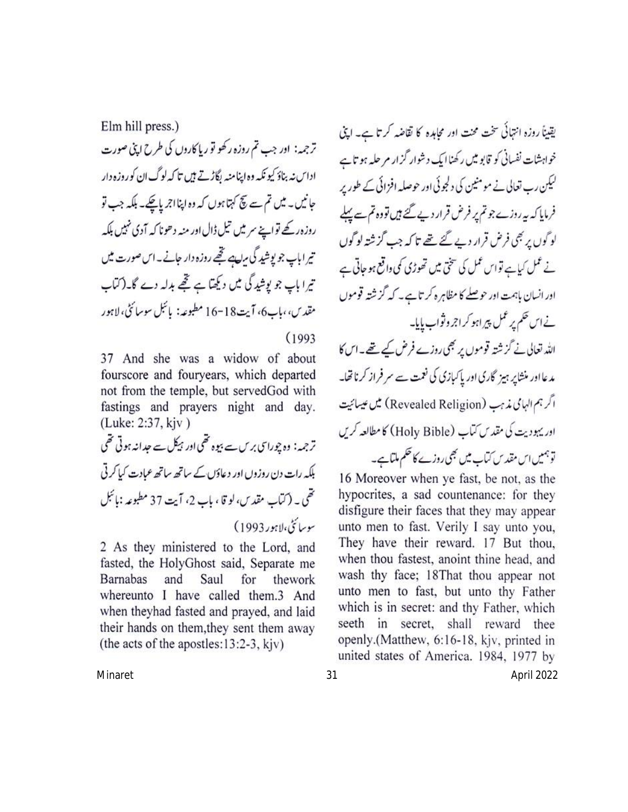Elm hill press.) ترجمہ: اور جب تم روزہ رکھو تو ریا کاروں کی طرح اپنی صورت اداس نہ بناؤ کیونکہ وہ اپنامنہ رگاڑتے ہیں تا کہ لوگ ان کوروزہ دار جانیں۔ میں تم سے نیچ کہتا ہوں کہ وہ اپنااجر پاچکے۔ بلکہ جب تو روزہ رکھے تواپنے سرمیں تیل ڈال اور منہ دھونا کہ آدی نہیں بلکہ تیر اباپ جو پوشید گی مرب تھے روزہ دار جانے۔اس صورت میں تیرا ہاپ جو پوشید گی میں دیکھتا ہے تھے بدلہ دے گا۔(کتاب مقد ب، ماپ6، آيت18-16 مطبوعه: پائېل سوسائڻ، لاہور

 $(1993)$ 

37 And she was a widow of about fourscore and fouryears, which departed not from the temple, but servedGod with fastings and prayers night and day. (Luke: 2:37, kjv)

ترجمہ: وہ چوراسی برس سے بیوہ تھی اور ہیکل سے حدانہ ہوتی تھی بلکہ رات دن روزوں اور دعاؤں کے ساتھ ساتھ عمادت کیا کرتی تھی ۔ (کتاب مقدس، لو قا ، باپ 2، آیت 37 مطبوعہ :بائبل سوسائن،لاہور1993)

2 As they ministered to the Lord, and fasted, the HolyGhost said, Separate me **Barnabas** and Saul for thework whereunto I have called them.3 And when theyhad fasted and prayed, and laid their hands on them, they sent them away (the acts of the apostles: $13:2-3$ , kjv)

یقیناً روزہ انتہائی سخت محنت اور مجاہدہ کا تقاضہ کرتا ہے۔ اپنی خواہشات نفسانی کو قابو میں رکھناایک دشوار گزار مر حلیہ ہو تاہے کیکن رب تعالی نے مومنین کی دلجوئی اور حوصلہ افزائی کے طور پر فرمایا کہ ہہ روزے جو تم پر فرض قرار دیے گئے ہیں تووہ تم سے پہلے لوگوں پر بھی فرض قرار دیے گئے تھے تا کہ جب گزشتہ لوگوں نے عمل کیاہے تواس عمل کی سختی میں تھوڑی کمی واقع ہو جاتی ہے اور انسان باہمت اور حوصلے کا مظاہر ہ کر تاہے۔ کہ گزشتہ قوموں نے اس حکم پر عمل پیر اہو کراجر وثواب ہایا۔ اللہ تعالی نے گزشتہ قوموں پر بھی روزے فرض کیے تھے۔اس کا مدعااور منشایر ہیز گاری اور پاکپازی کی نعمت سے سر فراز کرناتھا۔ اگر ہم الہامی مذہب (Revealed Religion) میں عیسائیت اور یہودیت کی مقدس کتاب (Holy Bible) کا مطالعہ کریں توہمیں اس مقدس کتاب میں بھی روزے کا حکم ملتاہے۔ 16 Moreover when ye fast, be not, as the

hypocrites, a sad countenance: for they disfigure their faces that they may appear unto men to fast. Verily I say unto you, They have their reward. 17 But thou, when thou fastest, anoint thine head, and wash thy face; 18That thou appear not unto men to fast, but unto thy Father which is in secret: and thy Father, which seeth in secret, shall reward thee openly.(Matthew, 6:16-18, kjv, printed in united states of America. 1984, 1977 by

Minaret 31 April 2022